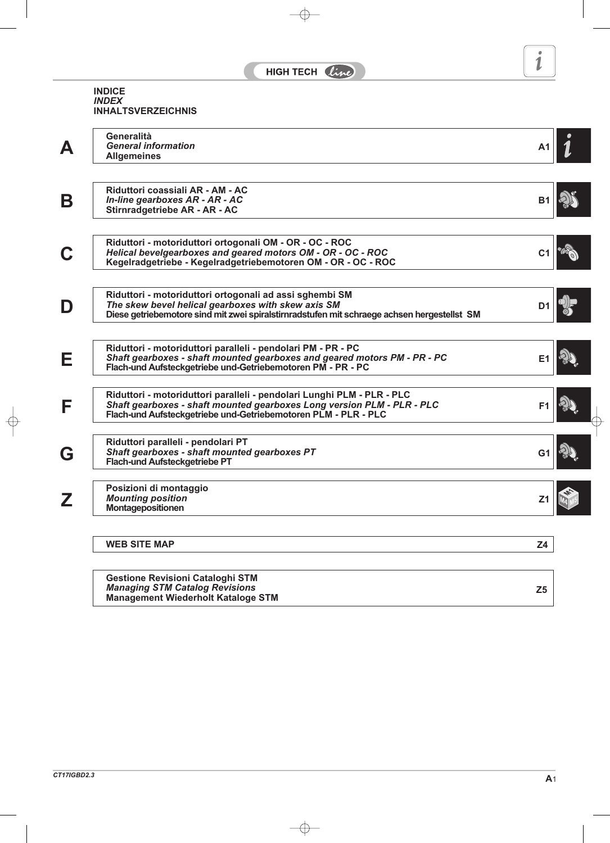### **INDICE** *INDEX* **INHALTSVERZEICHNIS**

| А | Generalità<br><b>General information</b>                                                                                                 | A1             |  |
|---|------------------------------------------------------------------------------------------------------------------------------------------|----------------|--|
|   | <b>Allgemeines</b>                                                                                                                       |                |  |
|   |                                                                                                                                          |                |  |
|   | Riduttori coassiali AR - AM - AC                                                                                                         |                |  |
| B | In-line gearboxes AR - AR - AC                                                                                                           | B <sub>1</sub> |  |
|   | Stirnradgetriebe AR - AR - AC                                                                                                            |                |  |
|   | Riduttori - motoriduttori ortogonali OM - OR - OC - ROC                                                                                  |                |  |
|   | Helical bevelgearboxes and geared motors OM - OR - OC - ROC                                                                              | C <sub>1</sub> |  |
|   | Kegelradgetriebe - Kegelradgetriebemotoren OM - OR - OC - ROC                                                                            |                |  |
|   | Riduttori - motoriduttori ortogonali ad assi sghembi SM                                                                                  |                |  |
| D | The skew bevel helical gearboxes with skew axis SM                                                                                       | D <sub>1</sub> |  |
|   | Diese getriebemotore sind mit zwei spiralstirnradstufen mit schraege achsen hergestellst SM                                              |                |  |
|   |                                                                                                                                          |                |  |
| Е | Riduttori - motoriduttori paralleli - pendolari PM - PR - PC<br>Shaft gearboxes - shaft mounted gearboxes and geared motors PM - PR - PC | E <sub>1</sub> |  |
|   | Flach-und Aufsteckgetriebe und-Getriebemotoren PM - PR - PC                                                                              |                |  |
|   | Riduttori - motoriduttori paralleli - pendolari Lunghi PLM - PLR - PLC                                                                   |                |  |
| F | Shaft gearboxes - shaft mounted gearboxes Long version PLM - PLR - PLC                                                                   | F <sub>1</sub> |  |
|   | Flach-und Aufsteckgetriebe und-Getriebemotoren PLM - PLR - PLC                                                                           |                |  |
|   | Riduttori paralleli - pendolari PT                                                                                                       |                |  |
| G | <b>Shaft gearboxes - shaft mounted gearboxes PT</b><br><b>Flach-und Aufsteckgetriebe PT</b>                                              | G <sub>1</sub> |  |
|   |                                                                                                                                          |                |  |
|   | Posizioni di montaggio                                                                                                                   |                |  |
| Z | <b>Mounting position</b><br>Montagepositionen                                                                                            | Z <sub>1</sub> |  |
|   |                                                                                                                                          |                |  |
|   | <b>WEB SITE MAP</b>                                                                                                                      | Z <sub>4</sub> |  |
|   |                                                                                                                                          |                |  |
|   | <b>Gestione Revisioni Cataloghi STM</b>                                                                                                  |                |  |
|   | <b>Managing STM Catalog Revisions</b><br><b>Management Wiederholt Kataloge STM</b>                                                       | Z <sub>5</sub> |  |
|   |                                                                                                                                          |                |  |

×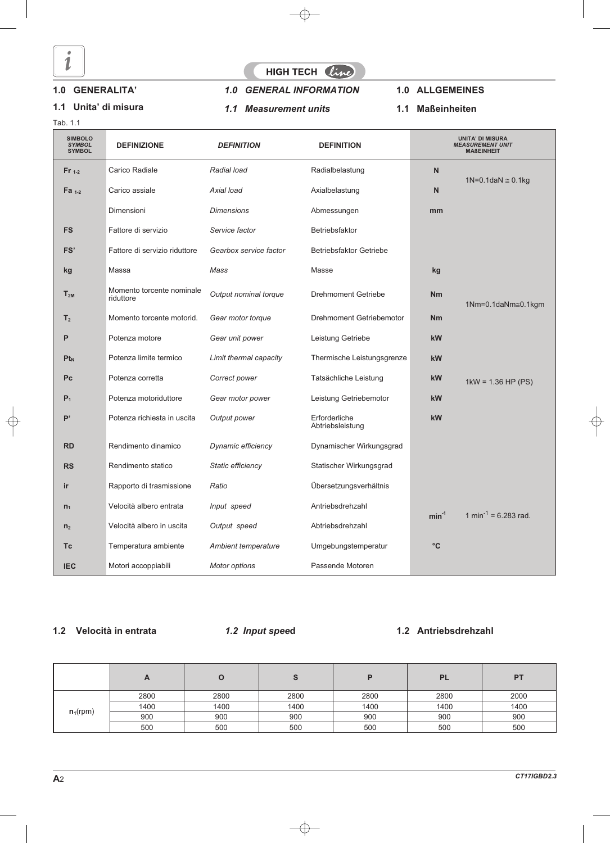

Tab. 1.1

### **1.0 GENERALITA'**

# **1.1 Unita' di misura**

# HIGH TECH line

# *1.0 GENERAL INFORMATION*

*1.1 Measurement units*

### **1.0 ALLGEMEINES**

#### **1.1 Maßeinheiten**

| <b>SIMBOLO</b><br><b>SYMBOL</b><br><b>SYMBOL</b> | <b>DEFINIZIONE</b>                     | <b>DEFINITION</b>      | <b>DEFINITION</b>                 |           | <b>UNITA' DI MISURA</b><br><b>MEASUREMENT UNIT</b><br><b>MAßEINHEIT</b> |
|--------------------------------------------------|----------------------------------------|------------------------|-----------------------------------|-----------|-------------------------------------------------------------------------|
| $Fr_{1-2}$                                       | Carico Radiale                         | Radial load            | Radialbelastung                   | N         |                                                                         |
| Fa $1-2$                                         | Carico assiale                         | Axial load             | Axialbelastung                    | N         | 1N=0.1daN $\approx$ 0.1kg                                               |
|                                                  | Dimensioni                             | <b>Dimensions</b>      | Abmessungen                       | mm        |                                                                         |
| <b>FS</b>                                        | Fattore di servizio                    | Service factor         | Betriebsfaktor                    |           |                                                                         |
| FS'                                              | Fattore di servizio riduttore          | Gearbox service factor | <b>Betriebsfaktor Getriebe</b>    |           |                                                                         |
| kg                                               | Massa                                  | Mass                   | Masse                             | kg        |                                                                         |
| $T_{2M}$                                         | Momento torcente nominale<br>riduttore | Output nominal torque  | <b>Drehmoment Getriebe</b>        | <b>Nm</b> | 1Nm=0.1daNm≅0.1kgm                                                      |
| T <sub>2</sub>                                   | Momento torcente motorid.              | Gear motor torque      | <b>Drehmoment Getriebemotor</b>   | <b>Nm</b> |                                                                         |
| P                                                | Potenza motore                         | Gear unit power        | Leistung Getriebe                 | kW        |                                                                         |
| $Pt_{N}$                                         | Potenza limite termico                 | Limit thermal capacity | Thermische Leistungsgrenze        | kW        |                                                                         |
| <b>Pc</b>                                        | Potenza corretta                       | Correct power          | Tatsächliche Leistung             | kW        | $1kW = 1.36 HP (PS)$                                                    |
| $P_1$                                            | Potenza motoriduttore                  | Gear motor power       | Leistung Getriebemotor            | kW        |                                                                         |
| P'                                               | Potenza richiesta in uscita            | Output power           | Erforderliche<br>Abtriebsleistung | kW        |                                                                         |
| <b>RD</b>                                        | Rendimento dinamico                    | Dynamic efficiency     | Dynamischer Wirkungsgrad          |           |                                                                         |
| <b>RS</b>                                        | Rendimento statico                     | Static efficiency      | Statischer Wirkungsgrad           |           |                                                                         |
| ir                                               | Rapporto di trasmissione               | Ratio                  | Übersetzungsverhältnis            |           |                                                                         |
| $n_1$                                            | Velocità albero entrata                | Input speed            | Antriebsdrehzahl                  | $min-1$   | 1 min <sup>-1</sup> = 6.283 rad.                                        |
| n <sub>2</sub>                                   | Velocità albero in uscita              | Output speed           | Abtriebsdrehzahl                  |           |                                                                         |
| Тc                                               | Temperatura ambiente                   | Ambient temperature    | Umgebungstemperatur               | $\circ$ C |                                                                         |
| <b>IEC</b>                                       | Motori accoppiabili                    | <b>Motor options</b>   | Passende Motoren                  |           |                                                                         |

### **1.2 Velocità in entrata**

*1.2 Input spee***d**

### **1.2 Antriebsdrehzahl**

|             | A    | O    | ১    |      | <b>PL</b> | <b>PT</b> |
|-------------|------|------|------|------|-----------|-----------|
|             | 2800 | 2800 | 2800 | 2800 | 2800      | 2000      |
|             | 1400 | 1400 | 1400 | 1400 | 1400      | 1400      |
| $n_1$ (rpm) | 900  | 900  | 900  | 900  | 900       | 900       |
|             | 500  | 500  | 500  | 500  | 500       | 500       |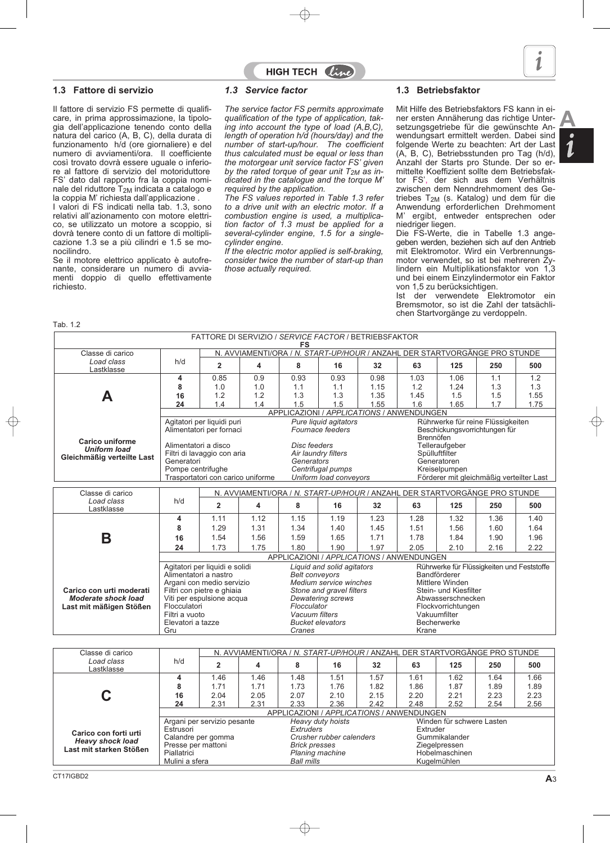

**A**

#### **1.3 Fattore di servizio**

Il fattore di servizio FS permette di qualificare, in prima approssimazione, la tipologia dell'applicazione tenendo conto della natura del carico (A, B, C), della durata di funzionamento h/d (ore giornaliere) e del numero di avviamenti/ora. Il coefficiente così trovato dovrà essere uguale o inferiore al fattore di servizio del motoriduttore FS' dato dal rapporto fra la coppia nominale del riduttore T<sub>2M</sub> indicata a catalogo e la coppia M' richiesta dall'applicazione .

I valori di FS indicati nella tab. 1.3, sono relativi all'azionamento con motore elettrico, se utilizzato un motore a scoppio, si dovrà tenere conto di un fattore di moltiplicazione 1.3 se a più cilindri e 1.5 se monocilindro.

Se il motore elettrico applicato è autofrenante, considerare un numero di avviamenti doppio di quello effettivamente richiesto.

#### *1.3 Service factor*

*The service factor FS permits approximate qualification of the type of application, taking into account the type of load (A,B,C), length of operation h/d (hours/day) and the number of start-up/hour. The coefficient thus calculated must be equal or less than the motorgear unit service factor FS' given* by the rated torque of gear unit  $T_{2M}$  as in*dicated in the catalogue and the torque M' required by the application.*

HIGH TECH  $\ell\mathcal{U}$ 

*The FS values reported in Table 1.3 refer to a drive unit with an electric motor. If a combustion engine is used, a multiplication factor of 1.3 must be applied for a several-cylinder engine, 1.5 for a singlecylinder engine.*

*If the electric motor applied is self-braking, consider twice the number of start-up than those actually required.*

#### **1.3 Betriebsfaktor**

Mit Hilfe des Betriebsfaktors FS kann in einer ersten Annäherung das richtige Untersetzungsgetriebe für die gewünschte Anwendungsart ermittelt werden. Dabei sind folgende Werte zu beachten: Art der Last (A, B, C), Betriebsstunden pro Tag (h/d), Anzahl der Starts pro Stunde. Der so ermittelte Koeffizient sollte dem Betriebsfaktor FS', der sich aus dem Verhältnis zwischen dem Nenndrehmoment des Getriebes  $T_{2M}$  (s. Katalog) und dem für die Anwendung erforderlichen Drehmoment M' ergibt, entweder entsprechen oder niedriger liegen.

Die FS-Werte, die in Tabelle 1.3 angegeben werden, beziehen sich auf den Antrieb mit Elektromotor. Wird ein Verbrennungsmotor verwendet, so ist bei mehreren Zylindern ein Multiplikationsfaktor von 1,3 und bei einem Einzylindermotor ein Faktor von 1,5 zu berücksichtigen.

Ist der verwendete Elektromotor ein Bremsmotor, so ist die Zahl der tatsächlichen Startvorgänge zu verdoppeln.

Tab. 1.2

|                            |                                                                                                                                       |                                   |      | FATTORE DI SERVIZIO / SERVICE FACTOR / BETRIEBSFAKTOR<br><b>FS</b> |                                           |      |               |                             |                                                                            |      |  |  |  |
|----------------------------|---------------------------------------------------------------------------------------------------------------------------------------|-----------------------------------|------|--------------------------------------------------------------------|-------------------------------------------|------|---------------|-----------------------------|----------------------------------------------------------------------------|------|--|--|--|
| Classe di carico           |                                                                                                                                       |                                   |      |                                                                    |                                           |      |               |                             | N. AVVIAMENTI/ORA / N. START-UP/HOUR / ANZAHL DER STARTVORGÄNGE PRO STUNDE |      |  |  |  |
| Load class<br>Lastklasse   | h/d                                                                                                                                   | $\overline{2}$                    | 4    | 8                                                                  | 16                                        | 32   | 63            | 125                         | 250                                                                        | 500  |  |  |  |
|                            | 4                                                                                                                                     | 0.85                              | 0.9  | 0.93                                                               | 0.93                                      | 0.98 | 1.03          | 1.06                        | 1.1                                                                        | 1.2  |  |  |  |
|                            | 8                                                                                                                                     | 1.0                               | 1.0  | 1.1                                                                | 1.1                                       | 1.15 | 1.2           | 1.24                        | 1.3                                                                        | 1.3  |  |  |  |
|                            | 16                                                                                                                                    | 1.2                               | 1.2  | 1.3                                                                | 1.3                                       | 1.35 | 1.45          | 1.5                         | 1.5                                                                        | 1.55 |  |  |  |
|                            | 24                                                                                                                                    | 1.4                               | 1.4  | 1.5                                                                | 1.5                                       | 1.55 | 1.6           | 1.65                        | 1.7                                                                        | 1.75 |  |  |  |
|                            | APPLICAZIONI / APPLICATIONS / ANWENDUNGEN<br>Rührwerke für reine Flüssigkeiten<br>Agitatori per liquidi puri<br>Pure liquid agitators |                                   |      |                                                                    |                                           |      |               |                             |                                                                            |      |  |  |  |
|                            |                                                                                                                                       |                                   |      |                                                                    |                                           |      |               |                             |                                                                            |      |  |  |  |
|                            |                                                                                                                                       | Alimentatori per fornaci          |      |                                                                    | Fournace feeders                          |      | Brennöfen     |                             | Beschickungsvorrichtungen für                                              |      |  |  |  |
| <b>Carico uniforme</b>     | Alimentatori a disco                                                                                                                  |                                   |      | Disc feeders                                                       |                                           |      |               | Telleraufgeber              |                                                                            |      |  |  |  |
| <b>Uniform load</b>        |                                                                                                                                       | Filtri di lavaggio con aria       |      |                                                                    | Air laundry filters                       |      |               | Spülluftfilter              |                                                                            |      |  |  |  |
| Gleichmäßig verteilte Last | Generatori                                                                                                                            |                                   |      | Generators                                                         |                                           |      |               | Generatoren                 |                                                                            |      |  |  |  |
|                            | Pompe centrifughe                                                                                                                     |                                   |      |                                                                    | Centrifugal pumps                         |      | Kreiselpumpen |                             |                                                                            |      |  |  |  |
|                            |                                                                                                                                       | Trasportatori con carico uniforme |      |                                                                    | Uniform load conveyors                    |      |               |                             | Förderer mit gleichmäßig verteilter Last                                   |      |  |  |  |
| Classe di carico           |                                                                                                                                       |                                   |      |                                                                    |                                           |      |               |                             | N. AVVIAMENTI/ORA / N. START-UP/HOUR / ANZAHL DER STARTVORGÄNGE PRO STUNDE |      |  |  |  |
|                            |                                                                                                                                       |                                   |      |                                                                    |                                           |      |               |                             |                                                                            |      |  |  |  |
| Load class<br>Lastklasse   | h/d                                                                                                                                   | $\overline{2}$                    | 4    | 8                                                                  | 16                                        | 32   | 63            | 125                         | 250                                                                        | 500  |  |  |  |
|                            | 4                                                                                                                                     | 1.11                              | 1.12 | 1.15                                                               | 1.19                                      | 1.23 | 1.28          | 1.32                        | 1.36                                                                       | 1.40 |  |  |  |
|                            | 8                                                                                                                                     | 1.29                              | 1.31 | 1.34                                                               | 1.40                                      | 1.45 | 1.51          | 1.56                        | 1.60                                                                       | 1.64 |  |  |  |
|                            | 16                                                                                                                                    | 1.54                              | 1.56 | 1.59                                                               | 1.65                                      | 1.71 | 1.78          | 1.84                        | 1.90                                                                       | 1.96 |  |  |  |
| Β                          | 24                                                                                                                                    | 1.73                              | 1.75 | 1.80                                                               | 1.90                                      | 1.97 | 2.05          | 2.10                        | 2.16                                                                       | 2.22 |  |  |  |
|                            |                                                                                                                                       |                                   |      |                                                                    | APPLICAZIONI / APPLICATIONS / ANWENDUNGEN |      |               |                             |                                                                            |      |  |  |  |
|                            |                                                                                                                                       | Agitatori per liquidi e solidi    |      |                                                                    | Liquid and solid agitators                |      |               |                             | Rührwerke für Flüssigkeiten und Feststoffe                                 |      |  |  |  |
|                            | Alimentatori a nastro                                                                                                                 |                                   |      | <b>Belt conveyors</b>                                              |                                           |      |               | Bandförderer                |                                                                            |      |  |  |  |
|                            |                                                                                                                                       | Argani con medio servizio         |      |                                                                    | Medium service winches                    |      |               | Mittlere Winden             |                                                                            |      |  |  |  |
| Carico con urti moderati   |                                                                                                                                       | Filtri con pietre e ghiaia        |      |                                                                    | Stone and gravel filters                  |      |               | Stein- und Kiesfilter       |                                                                            |      |  |  |  |
| <b>Moderate shock load</b> |                                                                                                                                       | Viti per espulsione acqua         |      |                                                                    | Dewatering screws                         |      |               | Abwasserschnecken           |                                                                            |      |  |  |  |
| Last mit mäßigen Stößen    | Flocculatori                                                                                                                          |                                   |      | Flocculator                                                        |                                           |      |               | Flockvorrichtungen          |                                                                            |      |  |  |  |
|                            | Filtri a vuoto<br>Elevatori a tazze                                                                                                   |                                   |      | Vacuum filters                                                     | <b>Bucket elevators</b>                   |      |               | Vakuumfilter<br>Becherwerke |                                                                            |      |  |  |  |

| Classe di carico         |                                           |                             |      |                      |                          |      |      |                           | N. AVVIAMENTI/ORA / N. START-UP/HOUR / ANZAHL DER STARTVORGÄNGE PRO STUNDE |      |  |  |  |
|--------------------------|-------------------------------------------|-----------------------------|------|----------------------|--------------------------|------|------|---------------------------|----------------------------------------------------------------------------|------|--|--|--|
| Load class<br>Lastklasse | h/d                                       |                             | 4    | 8                    | 16                       | 32   | 63   | 125                       | 250                                                                        | 500  |  |  |  |
|                          | 4                                         | 1.46                        | 1.46 | 1.48                 | 1.51                     | 1.57 | 1.61 | 1.62                      | 1.64                                                                       | 1.66 |  |  |  |
|                          | 8                                         | 1.71                        | 1.71 | 1.73                 | 1.76                     | 1.82 | 1.86 | 1.87                      | 1.89                                                                       | 1.89 |  |  |  |
|                          | 16                                        | 2.04                        | 2.05 | 2.07                 | 2.10                     | 2.15 | 2.20 | 2.21                      | 2.23                                                                       | 2.23 |  |  |  |
|                          | 24                                        | 2.31                        | 2.31 | 2.33                 | 2.36                     | 2.42 | 2.48 | 2.52                      | 2.54                                                                       | 2.56 |  |  |  |
|                          | APPLICAZIONI / APPLICATIONS / ANWENDUNGEN |                             |      |                      |                          |      |      |                           |                                                                            |      |  |  |  |
|                          |                                           | Argani per servizio pesante |      |                      | Heavy duty hoists        |      |      | Winden für schwere Lasten |                                                                            |      |  |  |  |
| Carico con forti urti    | Estrusori                                 |                             |      | <b>Extruders</b>     |                          |      |      | Extruder                  |                                                                            |      |  |  |  |
| <b>Heavy shock load</b>  |                                           | Calandre per gomma          |      |                      | Crusher rubber calenders |      |      | Gummikalander             |                                                                            |      |  |  |  |
| Last mit starken Stößen  | Presse per mattoni                        |                             |      | <b>Brick presses</b> |                          |      |      | Ziegelpressen             |                                                                            |      |  |  |  |
|                          | Piallatrici                               |                             |      |                      | Planing machine          |      |      | Hobelmaschinen            |                                                                            |      |  |  |  |
|                          | Mulini a sfera                            |                             |      | <b>Ball mills</b>    |                          |      |      | Kugelmühlen               |                                                                            |      |  |  |  |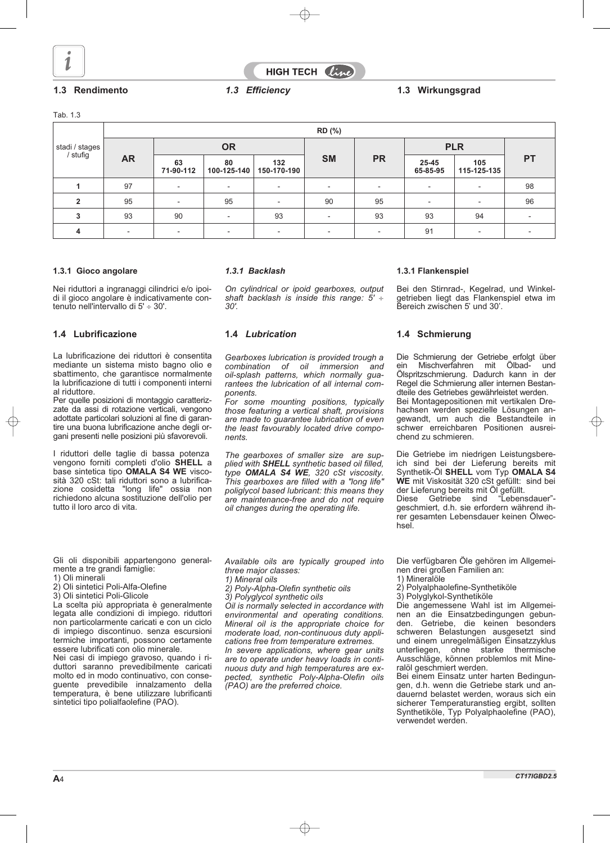

HIGH TECH Clin

### **1.3 Rendimento 1.3 Wirkungsgrad** *1.3 Efficiency*

Tab. 1.3

|                              |                          |                          |                          |                          | RD (%)                   |                          |                   |                          |           |  |
|------------------------------|--------------------------|--------------------------|--------------------------|--------------------------|--------------------------|--------------------------|-------------------|--------------------------|-----------|--|
| stadi / stages<br>  / stufig |                          |                          | <b>OR</b>                |                          |                          |                          | <b>PLR</b>        |                          |           |  |
|                              | <b>AR</b>                | 63<br>71-90-112          | 80<br>100-125-140        | 132<br>150-170-190       | <b>SM</b>                | <b>PR</b>                | 25-45<br>65-85-95 | 105<br>115-125-135       | <b>PT</b> |  |
|                              | 97                       | ٠                        | $\overline{\phantom{a}}$ | $\overline{\phantom{a}}$ | $\overline{\phantom{a}}$ | $\overline{\phantom{a}}$ |                   | $\overline{\phantom{a}}$ | 98        |  |
| $\mathfrak{p}$               | 95                       | $\overline{\phantom{a}}$ | 95                       | $\overline{\phantom{a}}$ | 90                       | 95                       |                   | $\overline{\phantom{a}}$ | 96        |  |
| 3                            | 93                       | 90                       | $\overline{\phantom{a}}$ | 93                       | $\overline{\phantom{a}}$ | 93                       | 93                | 94                       |           |  |
|                              | $\overline{\phantom{a}}$ | $\overline{\phantom{a}}$ | $\overline{\phantom{a}}$ | $\overline{a}$           | $\overline{a}$           | $\overline{\phantom{a}}$ | 91                | $\overline{\phantom{a}}$ |           |  |

#### **1.3.1 Gioco angolare**

Nei riduttori a ingranaggi cilindrici e/o ipoidi il gioco angolare è indicativamente contenuto nell'intervallo di 5' $\div$  30'.

### **1.4 Lubrificazione 1.4 Schmierung 1.4** *Lubrication*

La lubrificazione dei riduttori è consentita mediante un sistema misto bagno olio e sbattimento, che garantisce normalmente la lubrificazione di tutti i componenti interni al riduttore.

Per quelle posizioni di montaggio caratterizzate da assi di rotazione verticali, vengono adottate particolari soluzioni al fine di garantire una buona lubrificazione anche degli organi presenti nelle posizioni più sfavorevoli.

I riduttori delle taglie di bassa potenza vengono forniti completi d'olio **SHELL** a base sintetica tipo **OMALA S4 WE** viscosità 320 cSt: tali riduttori sono a lubrificazione cosidetta "long life" ossia non richiedono alcuna sostituzione dell'olio per tutto il loro arco di vita.

#### *1.3.1 Backlash*

*On cylindrical or ipoid gearboxes, output shaft backlash is inside this range: 5' 30'.*

*Gearboxes lubrication is provided trough a combination of oil immersion and oil-splash patterns, which normally guarantees the lubrication of all internal components.*

*For some mounting positions, typically those featuring a vertical shaft, provisions are made to guarantee lubrication of even the least favourably located drive components.*

*The gearboxes of smaller size are supplied with SHELL synthetic based oil filled, type OMALA S4 WE, 320 cSt viscosity. This gearboxes are filled with a "long life" poliglycol based lubricant: this means they are maintenance-free and do not require oil changes during the operating life.*

#### **1.3.1 Flankenspiel**

Bei den Stirnrad-, Kegelrad, und Winkelgetrieben liegt das Flankenspiel etwa im Bereich zwischen 5' und 30'.

Die Schmierung der Getriebe erfolgt über ein Mischverfahren mit Ölbad- und Ölspritzschmierung. Dadurch kann in der Regel die Schmierung aller internen Bestandteile des Getriebes gewährleistet werden. Bei Montagepositionen mit vertikalen Dre-

hachsen werden spezielle Lösungen angewandt, um auch die Bestandteile in schwer erreichbaren Positionen ausreichend zu schmieren.

Die Getriebe im niedrigen Leistungsbereich sind bei der Lieferung bereits mit Synthetik-Öl **SHELL** vom Typ **OMALA S4 WE** mit Viskosität 320 cSt gefüllt: sind bei der Lieferung bereits mit Öl gefüllt. Diese Getriebe sind "Lebensdauer" geschmiert, d.h. sie erfordern während ihrer gesamten Lebensdauer keinen Ölwec-

Gli oli disponibili appartengono generalmente a tre grandi famiglie:

- 1) Oli minerali
- 2) Oli sintetici Poli-Alfa-Olefine
- 3) Oli sintetici Poli-Glicole

La scelta più appropriata è generalmente legata alle condizioni di impiego. riduttori non particolarmente caricati e con un ciclo di impiego discontinuo. senza escursioni termiche importanti, possono certamente essere lubrificati con olio minerale.

Nei casi di impiego gravoso, quando i riduttori saranno prevedibilmente caricati molto ed in modo continuativo, con conseguente prevedibile innalzamento della temperatura, è bene utilizzare lubrificanti sintetici tipo polialfaolefine (PAO).

*Available oils are typically grouped into three major classes:*

- *1) Mineral oils*
- *2) Poly-Alpha-Olefin synthetic oils*
- *3) Polyglycol synthetic oils*

*Oil is normally selected in accordance with environmental and operating conditions. Mineral oil is the appropriate choice for moderate load, non-continuous duty applications free from temperature extremes. In severe applications, where gear units are to operate under heavy loads in continuous duty and high temperatures are expected, synthetic Poly-Alpha-Olefin oils (PAO) are the preferred choice.*

Die verfügbaren Öle gehören im Allgemeinen drei großen Familien an:

1) Mineralöle

hsel.

- 2) Polyalphaolefine-Synthetiköle
- 3) Polyglykol-Synthetiköle

Die angemessene Wahl ist im Allgemeinen an die Einsatzbedingungen gebunden. Getriebe, die keinen besonders schweren Belastungen ausgesetzt sind und einem unregelmäßigen Einsatzzyklus unterliegen, ohne starke thermische Ausschläge, können problemlos mit Mineralöl geschmiert werden.

Bei einem Einsatz unter harten Bedingungen, d.h. wenn die Getriebe stark und andauernd belastet werden, woraus sich ein sicherer Temperaturanstieg ergibt, sollten Synthetiköle, Typ Polyalphaolefine (PAO), verwendet werden.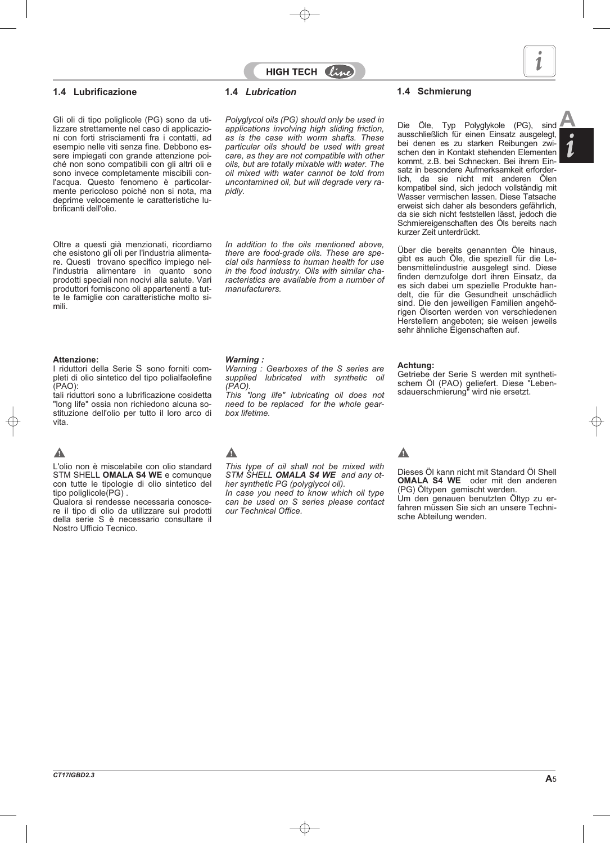### **1.4 Lubrificazione 1.4** *Lubrication* **1.4 Schmierung**

Gli oli di tipo poliglicole (PG) sono da uti lizzare strettamente nel caso di applicazio ni con forti strisciamenti fra i contatti, ad esempio nelle viti senza fine. Debbono essere impiegati con grande attenzione poiché non sono compatibili con gli altri oli e sono invece completamente miscibili conl'acqua. Questo fenomeno è particolarmente pericoloso poiché non si nota, ma deprime velocemente le caratteristiche lubrificanti dell'olio.

Oltre a questi già menzionati, ricordiamo che esistono gli oli per l'industria alimentare. Questi trovano specifico impiego nell'industria alimentare in quanto sono prodotti speciali non nocivi alla salute. Vari produttori forniscono oli appartenenti a tutte le famiglie con caratteristiche molto simili.

#### **Attenzione:**

I riduttori della Serie S sono forniti completi di olio sintetico del tipo polialfaolefine (PAO):

tali riduttori sono a lubrificazione cosidetta "long life" ossia non richiedono alcuna sostituzione dell'olio per tutto il loro arco di vita.

# $\blacktriangle$

L'olio non è miscelabile con olio standard STM SHELL **OMALA S4 WE** e comunque con tutte le tipologie di olio sintetico del tipo poliglicole(PG) .

Qualora si rendesse necessaria conoscere il tipo di olio da utilizzare sui prodotti della serie S è necessario consultare il Nostro Ufficio Tecnico.

**Folyglycol oils (PG) should only be used in**<br>**A applications involving high sliding friction,** a suppoblication für einen Einesta suppolent *applications involving high sliding friction, as is the case with worm shafts. These particular oils should be used with great care, as they are not compatible with other oils, but are totally mixable with water. The oil mixed with water cannot be told from uncontamined oil, but will degrade very rapidly.*

*In addition to the oils mentioned above, there are food-grade oils. These are special oils harmless to human health for use in the food industry. Oils with similar characteristics are available from a number of manufacturers.*

### *Warning :*

*Warning : Gearboxes of the S series are supplied lubricated with synthetic oil (PAO).*

*This "long life" lubricating oil does not need to be replaced for the whole gearbox lifetime.*

# Δ

*This type of oil shall not be mixed with STM SHELL OMALA S4 WE and any other synthetic PG (polyglycol oil).*

*In case you need to know which oil type can be used on S series please contact our Technical Office.*

Die Öle, Typ Polyglykole (PG), sind ausschließlich für einen Einsatz ausgelegt, bei denen es zu starken Reibungen zwischen den in Kontakt stehenden Elementen kommt, z.B. bei Schnecken. Bei ihrem Einsatz in besondere Aufmerksamkeit erforderlich, da sie nicht mit anderen Ölen kompatibel sind, sich jedoch vollständig mit Wasser vermischen lassen. Diese Tatsache erweist sich daher als besonders gefährlich, da sie sich nicht feststellen lässt, jedoch die Schmiereigenschaften des Öls bereits nach kurzer Zeit unterdrückt.

Über die bereits genannten Öle hinaus, gibt es auch Öle, die speziell für die Lebensmittelindustrie ausgelegt sind. Diese finden demzufolge dort ihren Einsatz, da es sich dabei um spezielle Produkte handelt, die für die Gesundheit unschädlich sind. Die den jeweiligen Familien angehörigen Ölsorten werden von verschiedenen Herstellern angeboten; sie weisen jeweils sehr ähnliche Eigenschaften auf.

#### **Achtung:**

Getriebe der Serie S werden mit synthetischem Öl (PAO) geliefert. Diese "Lebensdauerschmierung" wird nie ersetzt.

# Δ

Dieses Öl kann nicht mit Standard Öl Shell **OMALA S4 WE** oder mit den anderen (PG) Öltypen gemischt werden.

Um den genauen benutzten Öltyp zu erfahren müssen Sie sich an unsere Technische Abteilung wenden.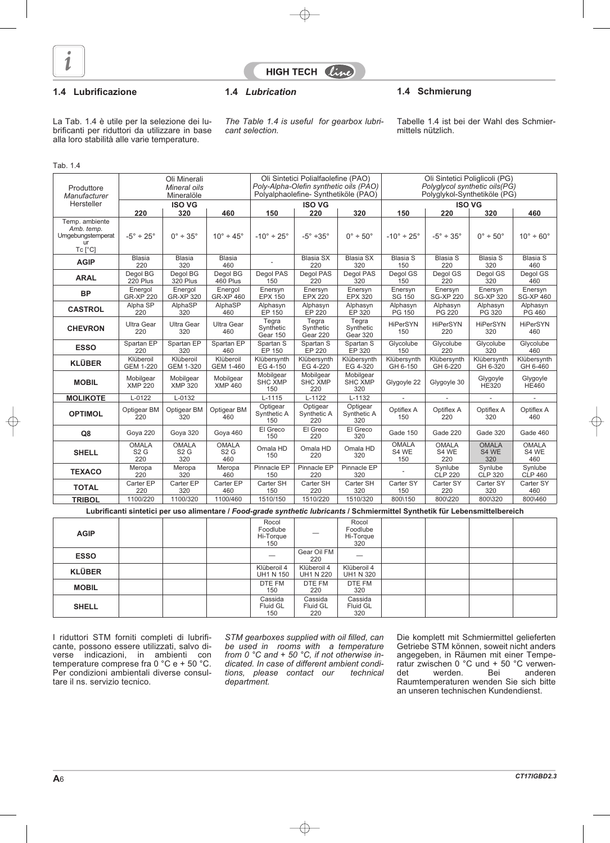

**HIGH TECH**  $\theta$ 

### **1.4 Lubrificazione 1.4** *Lubrication* **1.4 Schmierung**

La Tab. 1.4 è utile per la selezione dei lubrificanti per riduttori da utilizzare in base alla loro stabilità alle varie temperature.

*The Table 1.4 is useful for gearbox lubricant selection.*

Tabelle 1.4 ist bei der Wahl des Schmiermittels nützlich.

#### Tab. 1.4

| Produttore<br>Manufacturer                       |                               | Oli Minerali<br>Mineral oils<br>Mineralöle |                              |                                    | Oli Sintetici Polialfaolefine (PAO)<br>Poly-Alpha-Olefin synthetic oils (PAO)<br>Polyalphaolefine-Synthetiköle (PAO) |                                    |                               | Oli Sintetici Poliglicoli (PG)<br>Polyglycol synthetic oils(PG)<br>Polyglykol-Synthetiköle (PG) |                              |                              |
|--------------------------------------------------|-------------------------------|--------------------------------------------|------------------------------|------------------------------------|----------------------------------------------------------------------------------------------------------------------|------------------------------------|-------------------------------|-------------------------------------------------------------------------------------------------|------------------------------|------------------------------|
| Hersteller                                       |                               | <b>ISO VG</b>                              |                              |                                    | <b>ISO VG</b>                                                                                                        |                                    |                               |                                                                                                 | <b>ISO VG</b>                |                              |
| Temp. ambiente                                   | 220                           | 320                                        | 460                          | 150                                | 220                                                                                                                  | 320                                | 150                           | 220                                                                                             | 320                          | 460                          |
| Amb. temp.<br>Umgebungstemperat<br>ur<br>Tc [°C] | $-5^\circ \div 25^\circ$      | $0^\circ \div 35^\circ$                    | $10^{\circ} \div 45^{\circ}$ | $-10^{\circ} \div 25^{\circ}$      | $-5^\circ$ ÷35°                                                                                                      | $0^\circ \div 50^\circ$            | $-10^{\circ} \div 25^{\circ}$ | $-5^{\circ} \div 35^{\circ}$                                                                    | $0^\circ \div 50^\circ$      | $10^{\circ}$ ÷ 60 $^{\circ}$ |
| <b>AGIP</b>                                      | <b>Blasia</b><br>220          | <b>Blasia</b><br>320                       | Blasia<br>460                |                                    | <b>Blasia SX</b><br>220                                                                                              | <b>Blasia SX</b><br>320            | <b>Blasia S</b><br>150        | <b>Blasia S</b><br>220                                                                          | <b>Blasia S</b><br>320       | <b>Blasia S</b><br>460       |
| <b>ARAL</b>                                      | Degol BG<br>220 Plus          | Degol BG<br>320 Plus                       | Degol BG<br>460 Plus         | Degol PAS<br>150                   | Degol PAS<br>220                                                                                                     | Degol PAS<br>320                   | Degol GS<br>150               | Degol GS<br><b>220</b>                                                                          | Degol GS<br>$\overline{3}20$ | Degol GS<br>460              |
| <b>BP</b>                                        | Energol<br><b>GR-XP 220</b>   | Energol<br><b>GR-XP 320</b>                | Energol<br><b>GR-XP 460</b>  | Enersyn<br><b>EPX 150</b>          | Enersyn<br><b>EPX 220</b>                                                                                            | Enersyn<br><b>EPX 320</b>          | Enersyn<br>SG 150             | Enersyn<br><b>SG-XP 220</b>                                                                     | Enersyn<br><b>SG-XP 320</b>  | Enersyn<br><b>SG-XP 460</b>  |
| <b>CASTROL</b>                                   | Alpha SP<br>220               | AlphaSP<br>320                             | AlphaSP<br>460               | Alphasyn<br>EP 150                 | Alphasyn<br>EP 220                                                                                                   | Alphasyn<br>EP 320                 | Alphasyn<br>PG 150            | Alphasyn<br>PG 220                                                                              | Alphasyn<br>PG 320           | Alphasyn<br>PG 460           |
| <b>CHEVRON</b>                                   | <b>Ultra Gear</b><br>220      | <b>Ultra Gear</b><br>320                   | Ultra Gear<br>460            | Tegra<br>Synthetic<br>Gear 150     | Tegra<br>Synthetic<br>Gear 220                                                                                       | Tegra<br>Synthetic<br>Gear 320     | HiPerSYN<br>150               | HiPerSYN<br>220                                                                                 | HiPerSYN<br>320              | <b>HiPerSYN</b><br>460       |
| <b>ESSO</b>                                      | Spartan EP<br>220             | Spartan EP<br>320                          | Spartan EP<br>460            | Spartan S<br>EP 150                | Spartan S<br>EP 220                                                                                                  | Spartan S<br>EP 320                | Glycolube<br>150              | Glycolube<br>220                                                                                | Glycolube<br>320             | Glycolube<br>460             |
| <b>KLÜBER</b>                                    | Klüberoil<br><b>GEM 1-220</b> | Klüberoil<br>GEM 1-320                     | Klüberoil<br>GEM 1-460       | Klübersynth<br>EG 4-150            | Klübersynth<br>EG 4-220                                                                                              | Klübersynth<br>EG 4-320            | Klübersynth<br>GH 6-150       | Klübersynth<br>GH 6-220                                                                         | Klübersynth<br>GH 6-320      | Klübersynth<br>GH 6-460      |
| <b>MOBIL</b>                                     | Mobilgear<br><b>XMP 220</b>   | Mobilgear<br><b>XMP 320</b>                | Mobilgear<br><b>XMP 460</b>  | Mobilgear<br><b>SHC XMP</b><br>150 | Mobilgear<br><b>SHC XMP</b><br>220                                                                                   | Mobilgear<br><b>SHC XMP</b><br>320 | Glygoyle 22                   | Glygoyle 30                                                                                     | Glygoyle<br><b>HE320</b>     | Glygoyle<br><b>HE460</b>     |
| <b>MOLIKOTE</b>                                  | $L - 0122$                    | $L - 0132$                                 |                              | $L-1115$                           | $L-1122$                                                                                                             | $L-1132$                           | ÷.                            | $\overline{a}$                                                                                  | $\overline{\phantom{a}}$     | $\sim$                       |
| <b>OPTIMOL</b>                                   | Optigear BM<br>220            | Optigear BM<br>320                         | Optigear BM<br>460           | Optigear<br>Synthetic A<br>150     | Optigear<br>Synthetic A<br>220                                                                                       | Optigear<br>Synthetic A<br>320     | Optiflex A<br>150             | Optiflex A<br>220                                                                               | Optiflex A<br>320            | Optiflex A<br>460            |
| Q8                                               | Goya 220                      | Goya 320                                   | Goya 460                     | El Greco<br>150                    | El Greco<br>220                                                                                                      | El Greco<br>320                    | Gade 150                      | Gade 220                                                                                        | Gade 320                     | Gade 460                     |
| <b>SHELL</b>                                     | <b>OMALA</b><br>S2G<br>220    | <b>OMALA</b><br>S2G<br>320                 | <b>OMALA</b><br>S2G<br>460   | Omala HD<br>150                    | Omala HD<br>220                                                                                                      | Omala HD<br>320                    | <b>OMALA</b><br>S4 WE<br>150  | <b>OMALA</b><br>S4 WE<br>220                                                                    | <b>OMALA</b><br>S4 WE<br>320 | <b>OMALA</b><br>S4 WE<br>460 |
| <b>TEXACO</b>                                    | Meropa<br>220                 | Meropa<br>320                              | Meropa<br>460                | Pinnacle EP<br>150                 | Pinnacle EP<br>220                                                                                                   | Pinnacle EP<br>320                 |                               | Synlube<br><b>CLP 220</b>                                                                       | Svnlube<br>CLP 320           | Svnlube<br><b>CLP 460</b>    |
| <b>TOTAL</b>                                     | Carter EP<br>220              | Carter EP<br>320                           | Carter EP<br>460             | Carter SH<br>150                   | Carter SH<br>220                                                                                                     | Carter SH<br>320                   | Carter SY<br>150              | Carter SY<br>220                                                                                | Carter SY<br>320             | Carter SY<br>460             |
| <b>TRIBOL</b>                                    | 1100/220                      | 1100/320                                   | 1100/460                     | 1510/150                           | 1510/220                                                                                                             | 1510/320                           | 800\150                       | 800\220                                                                                         | 800\320                      | 800\460                      |

**Lubrificanti sintetici per uso alimentare /** *Food-grade synthetic lubricants* **/ Schmiermittel Synthetik für Lebensmittelbereich**

| <b>AGIP</b>   |  | Rocol<br>Foodlube<br>Hi-Torque<br>150 |                            | Rocol<br>Foodlube<br>Hi-Torque<br>320 |  |  |
|---------------|--|---------------------------------------|----------------------------|---------------------------------------|--|--|
| <b>ESSO</b>   |  | _                                     | Gear Oil FM<br>220         |                                       |  |  |
| <b>KLÜBER</b> |  | Klüberoil 4<br><b>UH1 N 150</b>       | Klüberoil 4<br>UH1 N 220   | Klüberoil 4<br><b>UH1 N 320</b>       |  |  |
| <b>MOBIL</b>  |  | DTE FM<br>150                         | DTE FM<br>220              | DTE FM<br>320                         |  |  |
| <b>SHELL</b>  |  | Cassida<br>Fluid GL<br>150            | Cassida<br>Fluid GL<br>220 | Cassida<br>Fluid GL<br>320            |  |  |

I riduttori STM forniti completi di lubrificante, possono essere utilizzati, salvo diverse indicazioni, in ambienti con temperature comprese fra 0 °C e + 50 °C. Per condizioni ambientali diverse consultare il ns. servizio tecnico.

*STM gearboxes supplied with oil filled, can be used in rooms with a temperature from 0 °C and + 50 °C, if not otherwise indicated. In case of different ambient conditions, please contact our technical department.*

Die komplett mit Schmiermittel gelieferten Getriebe STM können, soweit nicht anders angegeben, in Räumen mit einer Temperatur zwischen 0 °C und + 50 °C verwendet werden. Bei anderen Raumtemperaturen wenden Sie sich bitte an unseren technischen Kundendienst.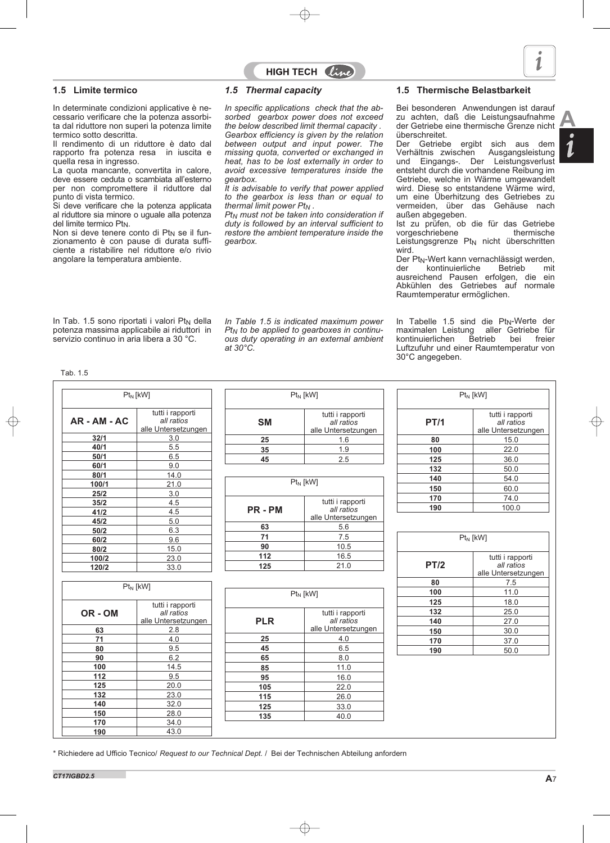

#### **1.5 Limite termico**

In determinate condizioni applicative è necessario verificare che la potenza assorbita dal riduttore non superi la potenza limite termico sotto descritta.

Il rendimento di un riduttore è dato dal rapporto fra potenza resa in iuscita e quella resa in ingresso.

La quota mancante, convertita in calore, deve essere ceduta o scambiata all'esterno per non compromettere il riduttore dal punto di vista termico.

Si deve verificare che la potenza applicata al riduttore sia minore o uguale alla potenza del limite termico Pt<sub>N</sub>.

Non si deve tenere conto di Pt<sub>N</sub> se il funzionamento è con pause di durata sufficiente a ristabilire nel riduttore e/o rivio angolare la temperatura ambiente.

#### *1.5 Thermal capacity*

*In specific applications check that the absorbed gearbox power does not exceed the below described limit thermal capacity . Gearbox efficiency is given by the relation between output and input power. The missing quota, converted or exchanged in heat, has to be lost externally in order to avoid excessive temperatures inside the gearbox.*

HIGH TECH  $\ell i\ell$ 

*It is advisable to verify that power applied to the gearbox is less than or equal to thermal limit power PtN .*

*PtN must not be taken into consideration if duty is followed by an interval sufficient to restore the ambient temperature inside the gearbox.*

#### **1.5 Thermische Belastbarkeit**

Bei besonderen Anwendungen ist darauf zu achten, daß die Leistungsaufnahme der Getriebe eine thermische Grenze nicht überschreitet.<br>Der Getriebe

ergibt sich aus dem<br>chen Ausgangsleistung Verhältnis zwischen und Eingangs-. Der Leistungsverlust entsteht durch die vorhandene Reibung im Getriebe, welche in Wärme umgewandelt wird. Diese so entstandene Wärme wird, um eine Überhitzung des Getriebes zu vermeiden, über das Gehäuse nach außen abgegeben.

Ist zu prüfen, ob die für das Getriebe<br>vorgeschriebene thermische vorgeschriebene Leistungsgrenze  $Pt_N$  nicht überschritten wird.

Der Pt<sub>N</sub>-Wert kann vernachlässigt werden,<br>der kontinuierliche Betrieb mit kontinuierliche ausreichend Pausen erfolgen, die ein Abkühlen des Getriebes auf normale Raumtemperatur ermöglichen.

In Tab. 1.5 sono riportati i valori  $Pt<sub>N</sub>$  della potenza massima applicabile ai riduttori in servizio continuo in aria libera a 30 °C.

*In Table 1.5 is indicated maximum power PtN to be applied to gearboxes in continuous duty operating in an external ambient at 30°C.*

In Tabelle 1.5 sind die Pt<sub>N</sub>-Werte der<br>maximalen Leistung aller Getriebe für maximalen Leistung aller Getriebe für kontinuierlichen Betrieb bei freier Luftzufuhr und einer Raumtemperatur von 30°C angegeben.

Tab. 1.5

|                | $Pt_N$ [kW]                                           |            | $Pt_N$ [kW]                                           |             | $Pt_N$ [kW]                                           |
|----------------|-------------------------------------------------------|------------|-------------------------------------------------------|-------------|-------------------------------------------------------|
| $AR - AM - AC$ | tutti i rapporti<br>all ratios<br>alle Untersetzungen | <b>SM</b>  | tutti i rapporti<br>all ratios<br>alle Untersetzungen | <b>PT/1</b> | tutti i rapporti<br>all ratios<br>alle Untersetzungen |
| 32/1           | 3.0                                                   | 25         | 1.6                                                   | 80          | 15.0                                                  |
| 40/1           | 5.5                                                   | 35         | 1.9                                                   | 100         | 22.0                                                  |
| 50/1           | 6.5                                                   | 45         | 2.5                                                   | 125         | 36.0                                                  |
| 60/1           | 9.0                                                   |            |                                                       | 132         | 50.0                                                  |
| 80/1           | 14.0                                                  |            |                                                       | 140         | 54.0                                                  |
| 100/1          | 21.0                                                  |            | $Pt_N$ [kW]                                           | 150         | 60.0                                                  |
| 25/2           | 3.0                                                   |            |                                                       | 170         | 74.0                                                  |
| 35/2           | 4.5                                                   |            | tutti i rapporti                                      | 190         | 100.0                                                 |
| 41/2           | 4.5                                                   | PR-PM      | all ratios<br>alle Untersetzungen                     |             |                                                       |
| 45/2           | 5.0                                                   |            |                                                       |             |                                                       |
| 50/2           | 6.3                                                   | 63         | 5.6                                                   |             |                                                       |
| 60/2           | 9.6                                                   | 71         | 7.5                                                   |             | $Pt_N$ [kW]                                           |
| 80/2           | 15.0                                                  | 90         | 10.5                                                  |             |                                                       |
| 100/2          | 23.0                                                  | 112        | 16.5                                                  |             | tutti i rapporti                                      |
| 120/2          | 33.0                                                  | 125        | 21.0                                                  | <b>PT/2</b> | all ratios<br>alle Untersetzungen                     |
|                | $Pt_N$ [kW]                                           |            |                                                       | 80          | 7.5                                                   |
|                |                                                       |            | $Pt_N$ [kW]                                           | 100         | 11.0                                                  |
|                | tutti i rapporti                                      |            |                                                       | 125         | 18.0                                                  |
| OR-OM          | all ratios                                            |            | tutti i rapporti                                      | 132         | 25.0                                                  |
|                | alle Untersetzungen                                   | <b>PLR</b> | all ratios                                            | 140         | 27.0                                                  |
| 63             | 2.8                                                   |            | alle Untersetzungen                                   | 150         | 30.0                                                  |
| 71             | 4.0                                                   | 25         | 4.0                                                   | 170         | 37.0                                                  |
| 80             | 9.5                                                   | 45         | 6.5                                                   | 190         | 50.0                                                  |
| 90             | 6.2                                                   | 65         | 8.0                                                   |             |                                                       |
| 100            | 14.5                                                  | 85         | 11.0                                                  |             |                                                       |
| 112            | 9.5                                                   | 95         | 16.0                                                  |             |                                                       |
| 125            | 20.0                                                  | 105        | 22.0                                                  |             |                                                       |
| 132            | 23.0                                                  | 115        | 26.0                                                  |             |                                                       |
| 140            | 32.0                                                  | 125        | 33.0                                                  |             |                                                       |
| 150            | 28.0                                                  | 135        | 40.0                                                  |             |                                                       |
| 170            | 34.0                                                  |            |                                                       |             |                                                       |
| 190            | 43.0                                                  |            |                                                       |             |                                                       |

\* Richiedere ad Ufficio Tecnico/ *Request to our Technical Dept.* / Bei der Technischen Abteilung anfordern

**A**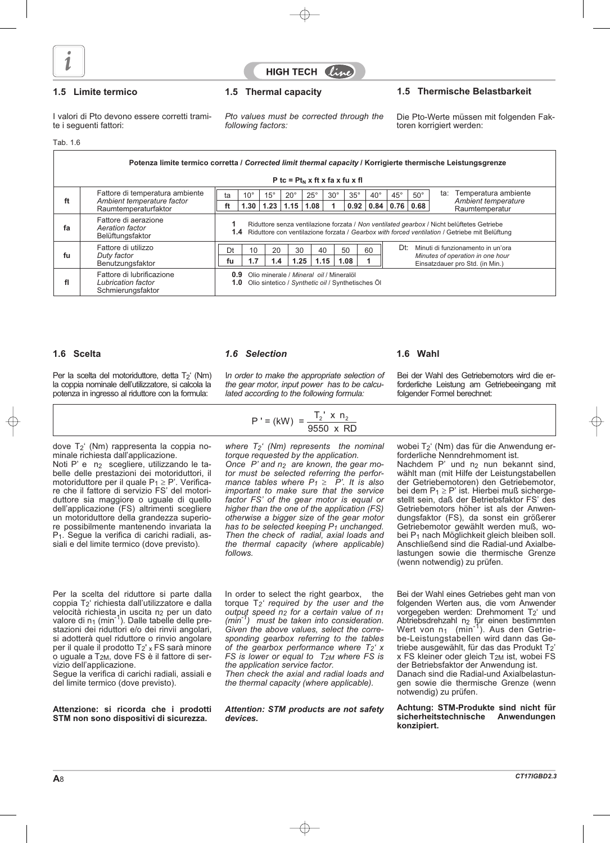



### **1.5 Limite termico 1.5 Thermal capacity 1.5 Thermische Belastbarkeit**

I valori di Pto devono essere corretti tramite i seguenti fattori:

*Pto values must be corrected through the following factors:*

Die Pto-Werte müssen mit folgenden Faktoren korrigiert werden:

Tab. 1.6

|                                                                                                                                                                                          | Potenza limite termico corretta / Corrected limit thermal capacity / Korrigierte thermische Leistungsgrenze                                                                                                                                                   |    |              |              |              |              |            |            |              |              |                                                                     |                                   |                                       |  |  |
|------------------------------------------------------------------------------------------------------------------------------------------------------------------------------------------|---------------------------------------------------------------------------------------------------------------------------------------------------------------------------------------------------------------------------------------------------------------|----|--------------|--------------|--------------|--------------|------------|------------|--------------|--------------|---------------------------------------------------------------------|-----------------------------------|---------------------------------------|--|--|
|                                                                                                                                                                                          | P tc = $Pt_N$ x ft x fa x fu x fl                                                                                                                                                                                                                             |    |              |              |              |              |            |            |              |              |                                                                     |                                   |                                       |  |  |
|                                                                                                                                                                                          | Fattore di temperatura ambiente                                                                                                                                                                                                                               | ta | $10^{\circ}$ | $15^{\circ}$ | $20^{\circ}$ | $25^{\circ}$ | $30^\circ$ | $35^\circ$ | $40^{\circ}$ | $45^{\circ}$ | $50^\circ$                                                          | ta:                               | Temperatura ambiente                  |  |  |
| ft                                                                                                                                                                                       | Ambient temperature factor<br>Raumtemperaturfaktor                                                                                                                                                                                                            | ft | 1.30         | 1.23         | 1.15         | 1.08         |            | 0.92       | 0.84         | 0.76         | 0.68                                                                |                                   | Ambient temperature<br>Raumtemperatur |  |  |
| fa                                                                                                                                                                                       | Fattore di aerazione<br>Riduttore senza ventilazione forzata / Non ventilated gearbox / Nicht belüftetes Getriebe<br>Aeration factor<br>1.4 Riduttore con ventilazione forzata / Gearbox with forced ventilation / Getriebe mit Belüftung<br>Belüftungsfaktor |    |              |              |              |              |            |            |              |              |                                                                     |                                   |                                       |  |  |
|                                                                                                                                                                                          | Fattore di utilizzo                                                                                                                                                                                                                                           | Dt | 10           |              | 30<br>20     |              | 40         | 50<br>60   |              | Dt:          |                                                                     | Minuti di funzionamento in un'ora |                                       |  |  |
| fu                                                                                                                                                                                       | Duty factor<br>Benutzungsfaktor                                                                                                                                                                                                                               | fu | 1.7          | 1.4          | 1.25         |              | 1.15       | 1.08       |              |              | Minutes of operation in one hour<br>Einsatzdauer pro Std. (in Min.) |                                   |                                       |  |  |
| Fattore di lubrificazione<br>Olio minerale / Mineral oil / Mineralöl<br>0.9<br>fl<br>Lubrication factor<br>Olio sintetico / Synthetic oil / Synthetisches Öl<br>1.0<br>Schmierungsfaktor |                                                                                                                                                                                                                                                               |    |              |              |              |              |            |            |              |              |                                                                     |                                   |                                       |  |  |

Per la scelta del motoriduttore, detta  $T_2$ <sup>'</sup> (Nm) la coppia nominale dell'utilizzatore, si calcola la potenza in ingresso al riduttore con la formula:

dove T2' (Nm) rappresenta la coppia nominale richiesta dall'applicazione.

Noti P' e n2 scegliere, utilizzando le tabelle delle prestazioni dei motoriduttori, il motoriduttore per il quale  $P_1 \ge P'$ . Verificare che il fattore di servizio FS' del motoriduttore sia maggiore o uguale di quello dell'applicazione (FS) altrimenti scegliere un motoriduttore della grandezza superiore possibilmente mantenendo invariata la P1. Segue la verifica di carichi radiali, assiali e del limite termico (dove previsto).

#### **1.6 Scelta** *1.6 Selection* **1.6 Wahl**

I*n order to make the appropriate selection of the gear motor, input power has to be calculated according to the following formula:*

$$
P' = (kW) = \frac{T_2' \times n_2}{9550 \times RD}
$$

*where T2' (Nm) represents the nominal torque requested by the application.*

*Once P' and n2 are known, the gear motor must be selected referring the perfor-mance tables where P1 - P'. It is also important to make sure that the service factor FS' of the gear motor is equal or higher than the one of the application (FS) otherwise a bigger size of the gear motor has to be selected keeping P1 unchanged. Then the check of radial, axial loads and the thermal capacity (where applicable) follows.*

Per la scelta del riduttore si parte dalla coppia T2' richiesta dall'utilizzatore e dalla velocità richiesta in uscita n<sub>2</sub> per un dato<br>valore di n<sub>1</sub> (min<sup>-1</sup>). Dalle tabelle delle prestazioni dei riduttori e/o dei rinvii angolari, si adotterà quel riduttore o rinvio angolare per il quale il prodotto T $_2$ ' $_\mathrm{x}$  FS sarà minore o uguale a T<sub>2M</sub>, dove FS è il fattore di servizio dell'applicazione.

Segue la verifica di carichi radiali, assiali e del limite termico (dove previsto).

**Attenzione: si ricorda che i prodotti STM non sono dispositivi di sicurezza.**

In order to select the right gearbox, the torque T*2' required by the user and the output speed n2 for a certain value of n1 (min-1) must be taken into consideration. Given the above values, select the corresponding gearbox referring to the tables of the gearbox performance where T2' x FS is lower or equal to T2M where FS is the application service factor.*

*Then check the axial and radial loads and the thermal capacity (where applicable).*

*Attention: STM products are not safety devices.*

Bei der Wahl des Getriebemotors wird die erforderliche Leistung am Getriebeeingang mit folgender Formel berechnet:

wobei T2' (Nm) das für die Anwendung erforderliche Nenndrehmoment ist.

Nachdem P' und n<sub>2</sub> nun bekannt sind, wählt man (mit Hilfe der Leistungstabellen der Getriebemotoren) den Getriebemotor, bei dem  $P_1 \ge P'$  ist. Hierbei muß sichergestellt sein, daß der Betriebsfaktor FS' des Getriebemotors höher ist als der Anwendungsfaktor (FS), da sonst ein größerer Getriebemotor gewählt werden muß, wobei P<sub>1</sub> nach Möglichkeit gleich bleiben soll. Anschließend sind die Radial-und Axialbelastungen sowie die thermische Grenze (wenn notwendig) zu prüfen.

Bei der Wahl eines Getriebes geht man von folgenden Werten aus, die vom Anwender vorgegeben werden: Drehmoment T2' und Abtriebsdrehzahl n<sub>2</sub> für einen bestimmten<br>Wert von n<sub>1</sub> (min<sup>-1</sup>). Aus den Getriebe-Leistungstabellen wird dann das Getriebe ausgewählt, für das das Produkt T<sub>2</sub> x FS kleiner oder gleich T2M ist, wobei FS der Betriebsfaktor der Anwendung ist.

Danach sind die Radial-und Axialbelastungen sowie die thermische Grenze (wenn notwendig) zu prüfen.

#### **Achtung: STM-Produkte sind nicht für sicherheitstechnische Anwendungen konzipiert.**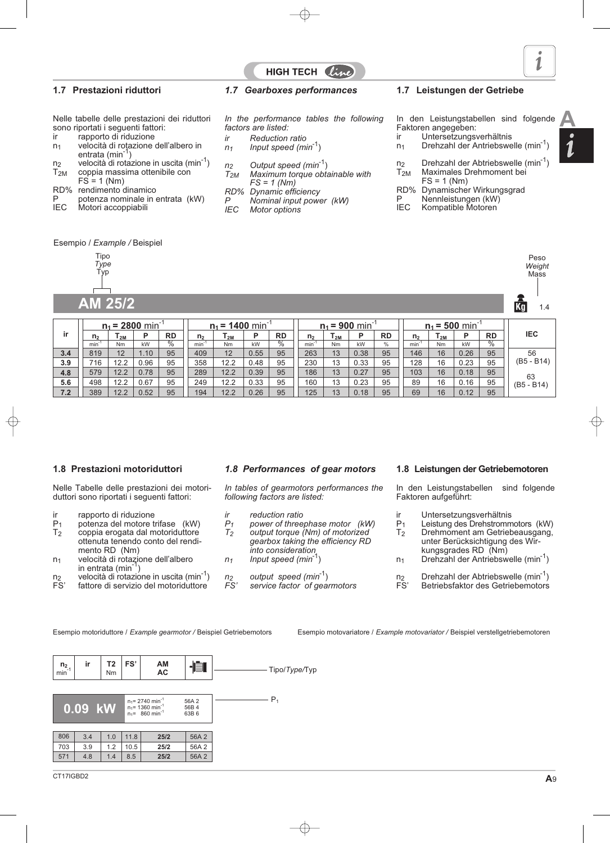### **1.7 Prestazioni riduttori**

- Nelle tabelle delle prestazioni dei riduttori sono riportati i seguenti fattori:<br>ir apporto di riduzione
- ir rapporto di riduzione<br>n<sub>1</sub> velocità di rotazione
- velocità di rotazione dell'albero in entrata (min<sup>-1</sup>)
- $n_2$  velocità di rotazione in uscita (min<sup>-1</sup>)<br>T<sub>2M</sub> coppia massima ottenibile con
- coppia massima ottenibile con  $FS = 1$  (Nm)
- 
- RD% rendimento dinamico
- P potenza nominale in entrata (kW)<br>IEC Motori accoppiabili Motori accoppiabili

### *1.7 Gearboxes performances*

*In the performance tables the following factors are listed:*

HIGH TECH  $\ell i$ 

- *ir Reduction ratio*
- *n1 Input speed (min*-1)
- 
- *n2 Output speed (min*-1) *Maximum torque obtainable with FS = 1 (Nm)*
- *RD% Dynamic efficiency*
- *P Nominal input power (kW) Motor options*

### **1.7 Leistungen der Getriebe**

- In den Leistungstabellen sind folgende Faktoren angegeben:<br>ir Untersetzungsv **A**
- Untersetzungsverhältnis
- n<sub>1</sub> Drehzahl der Antriebswelle (min<sup>-1</sup>
- n<sub>2</sub> Drehzahl der Abtriebswelle (min<sup>-1</sup>)<br>T<sub>2M</sub> Maximales Drehmoment bei
- Maximales Drehmoment bei  $FS = 1$  (Nm)
- 
- RD% Dynamischer Wirkungsgrad
- P Nennleistungen (kW)<br>IEC Kompatible Motoren Kompatible Motoren

Esempio / *Example /* Beispiel

| Tipo |  |
|------|--|
| pe   |  |
|      |  |
|      |  |
|      |  |
|      |  |

**AM 25/2 1.4 1.4 1.4 1.4 1.4 1.4 1.4 1.4 1.4 1.4 1.4 1.4 1.4 1.4 1.4 1.4** 

|     |                |           | $n_1$ = 2800 min |                 | $n_1$ = 1400 min <sup>-1</sup> |           |      |                 | $n_1$ = 900 min |                            |      |           | $n_1 = 500$ min   |           |      |                 |              |
|-----|----------------|-----------|------------------|-----------------|--------------------------------|-----------|------|-----------------|-----------------|----------------------------|------|-----------|-------------------|-----------|------|-----------------|--------------|
| ir  | n <sub>2</sub> | $r_{2M}$  | P                | <b>RD</b>       | n <sub>2</sub>                 | l 2M      | Þ    | <b>RD</b>       | n <sub>2</sub>  | $\mathsf{T}_{\mathsf{2M}}$ | P    | <b>RD</b> | n <sub>2</sub>    | 12M       | D    | <b>RD</b>       | <b>IEC</b>   |
|     | $min^{-1}$     | <b>Nm</b> | kW               | $\overline{\%}$ | $min^{-1}$                     | <b>Nm</b> | kW   | $\overline{\%}$ | $min^{-1}$      | N <sub>m</sub>             | kW   | $\%$      | min <sup>-1</sup> | <b>Nm</b> | kW   | $\overline{\%}$ |              |
| 3.4 | 819            | 12        | 1.10             | 95              | 409                            | 12        | 0.55 | 95              | 263             | 13                         | 0.38 | 95        | 146               | 16        | 0.26 | 95              | 56           |
| 3.9 | 716            | 12.2      | 0.96             | 95              | 358                            | 12.2      | 0.48 | 95              | 230             | 13                         | 0.33 | 95        | 128               | 16        | 0.23 | 95              | $(B5 - B14)$ |
| 4.8 | 579            | 12.2      | 0.78             | 95              | 289                            | 12.2      | 0.39 | 95              | 186             | 13                         | 0.27 | 95        | 103               | 16        | 0.18 | 95              | 63           |
| 5.6 | 498            | 12.2      | 0.67             | 95              | 249                            | 12.2      | 0.33 | 95              | 160             | 13                         | 0.23 | 95        | 89                | 16        | 0.16 | 95              | $(B5 - B14)$ |
| 7.2 | 389            | 12.2      | 0.52             | 95              | 194                            | 12.2      | 0.26 | 95              | 125             | 13                         | 0.18 | 95        | 69                | 16        | 0.12 | 95              |              |

### **1.8 Prestazioni motoriduttori**

Nelle Tabelle delle prestazioni dei motoriduttori sono riportati i seguenti fattori:

- ir rapporto di riduzione<br> $P_1$  potenza del motore t
- $P_1$  potenza del motore trifase (kW)<br>  $T_2$  coppia erogata dal motoriduttore coppia erogata dal motoriduttore ottenuta tenendo conto del rendimento RD (Nm)
- n1 velocità di rotazione dell'albero in entrata (min $^{-1}$ )
- $n_2$  velocità di rotazione in uscita (min<sup>-1</sup>)<br>FS' fattore di servizio del motoriduttore fattore di servizio del motoriduttore

### *1.8 Performances of gear motors*

*In tables of gearmotors performances the following factors are listed:*

- *ir reduction ratio*
- *P1 power of threephase motor (kW) T2 output torque (Nm) of motorized gearbox taking the efficiency RD into consideration*
- *n1 Input speed (min*-1)
- *n2 output speed (min*-1)
- service factor of gearmotors

**1.8 Leistungen der Getriebemotoren**

In den Leistungstabellen sind folgende Faktoren aufgeführt:

- ir Untersetzungsverhältnis<br>P<sub>1</sub> Leistung des Drehstromm
- P<sub>1</sub> Leistung des Drehstrommotors (kW)<br>T<sub>2</sub> Drehmoment am Getriebeausgang, Drehmoment am Getriebeausgang,
- unter Berücksichtigung des Wirkungsgrades RD (Nm)
- $n_1$  Drehzahl der Antriebswelle (min<sup>-1</sup>)
- $n_2$  Drehzahl der Abtriebswelle (min<sup>-1</sup>)<br>FS' Betriebsfaktor des Getriebemotors Betriebsfaktor des Getriebemotors

Esempio motovariatore / *Example motovariator /* Beispiel verstellgetriebemotoren

 $P_1$ Nm **AC 0.09 kW**  $n_1 = 2740$  min<sup>-1</sup><br> $n_1 = 1360$  min<sup>-1</sup> 56A 2 56B 4 63B 6 571 4.8 1.4 8.5 **25/2** 56A 2

Peso *Weight* **Mass** 

**FS' AM**  $n_2$ <sub>min</sub>  $\begin{array}{c|c} n_2 \\ \hline \end{array}$  **ir T2**<br>min<sup>-1</sup> **i** Nm ·IÉT Tipo/*Type/*Typ 806 3.4 1.0 11.8 **25/2** 56A 2 703 3.9 1.2 10.5 **25/2** 56A 2

Esempio motoriduttore / *Example gearmotor /* Beispiel Getriebemotors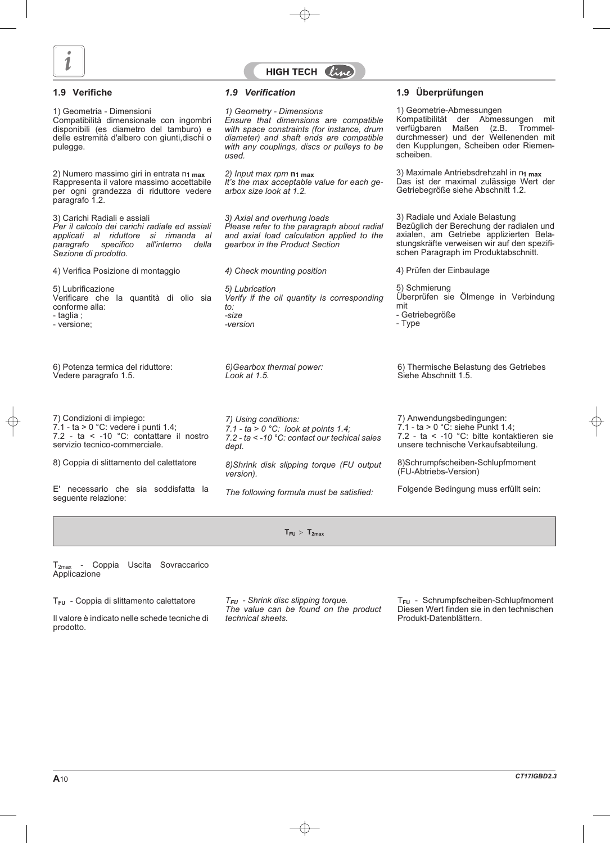



#### **1.9 Verifiche**

1) Geometria - Dimensioni Compatibilità dimensionale con ingombri disponibili (es diametro del tamburo) e delle estremità d'albero con giunti,dischi o pulegge.

2) Numero massimo giri in entrata n**1 max** Rappresenta il valore massimo accettabile per ogni grandezza di riduttore vedere paragrafo 1.2.

3) Carichi Radiali e assiali *Per il calcolo dei carichi radiale ed assiali applicati al riduttore si rimanda al paragrafo specifico all'interno della Sezione di prodotto.*

4) Verifica Posizione di montaggio

5) Lubrificazione Verificare che la quantità di olio sia conforme alla: - taglia ; - versione;

6) Potenza termica del riduttore: Vedere paragrafo 1.5.

7) Condizioni di impiego:  $7.1 - ta > 0$  °C: vedere i punti 1.4; 7.2 - ta < -10 °C: contattare il nostro servizio tecnico-commerciale.

8) Coppia di slittamento del calettatore

E' necessario che sia soddisfatta la seguente relazione:

*1.9 Verification*

*1) Geometry - Dimensions Ensure that dimensions are compatible with space constraints (for instance, drum diameter) and shaft ends are compatible with any couplings, discs or pulleys to be used.*

*2) Input max rpm* **n1 max** *It's the max acceptable value for each gearbox size look at 1.2.*

*3) Axial and overhung loads Please refer to the paragraph about radial and axial load calculation applied to the gearbox in the Product Section*

*4) Check mounting position 5) Lubrication Verify if the oil quantity is corresponding to:*

*6)Gearbox thermal power: Look at 1.5.*

*-size -version*

*7) Using conditions: 7.1 - ta > 0 °C: look at points 1.4; 7.2 - ta < -10 °C: contact our techical sales dept.*

*8)Shrink disk slipping torque (FU output version).*

*The following formula must be satisfied:*

**1.9 Überprüfungen**

1) Geometrie-Abmessungen Kompatibilität der Abmessungen mit verfügbaren Maßen (z.B. Trommeldurchmesser) und der Wellenenden mit den Kupplungen, Scheiben oder Riemenscheiben.

3) Maximale Antriebsdrehzahl in n**1 max** Das ist der maximal zulässige Wert der Getriebegröße siehe Abschnitt 1.2.

3) Radiale und Axiale Belastung Bezüglich der Berechung der radialen und axialen, am Getriebe applizierten Belastungskräfte verweisen wir auf den spezifischen Paragraph im Produktabschnitt.

4) Prüfen der Einbaulage

5) Schmierung Überprüfen sie Ölmenge in Verbindung mit

- Getriebegröße

- Type

6) Thermische Belastung des Getriebes Siehe Abschnitt 1.5.

7) Anwendungsbedingungen:  $7.1$  - ta > 0 °C: siehe Punkt 1.4; 7.2 - ta < -10 °C: bitte kontaktieren sie unsere technische Verkaufsabteilung.

8)Schrumpfscheiben-Schlupfmoment (FU-Abtriebs-Version)

Folgende Bedingung muss erfüllt sein:

 $T_{FU}$  >  $T_{2max}$ 

T2max - Coppia Uscita Sovraccarico Applicazione

T**FU** - Coppia di slittamento calettatore

Il valore è indicato nelle schede tecniche di prodotto.

*TFU - Shrink disc slipping torque. The value can be found on the product technical sheets.*

T**FU** - Schrumpfscheiben-Schlupfmoment Diesen Wert finden sie in den technischen Produkt-Datenblättern.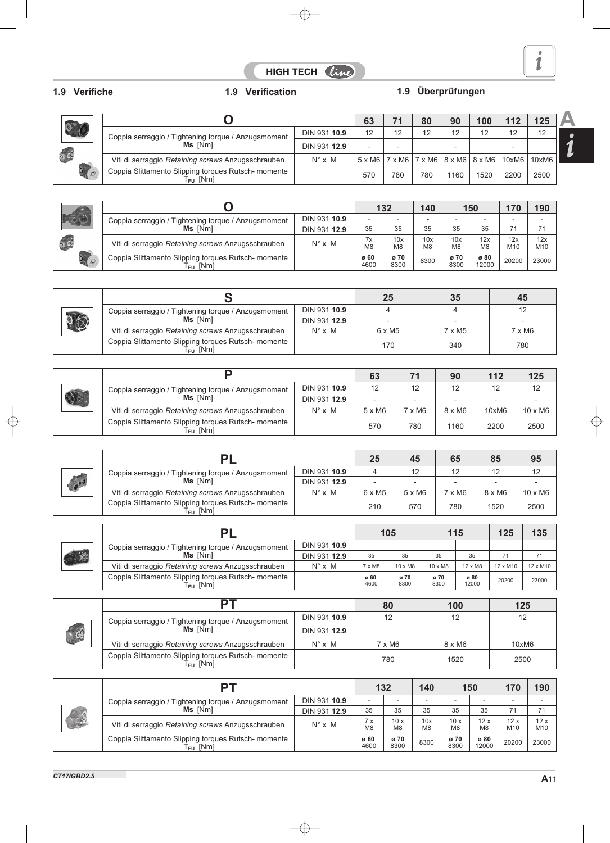# HIGH TECH Cine

# **1.9 Verifiche 1.9 Verification 1.9 Überprüfungen**

|                                 |                                                                             |                   |     |     | 80  | 90   | 100                                                                           |       | 125   |
|---------------------------------|-----------------------------------------------------------------------------|-------------------|-----|-----|-----|------|-------------------------------------------------------------------------------|-------|-------|
| $\mathbf{0}^\circ$              | Coppia serraggio / Tightening torque / Anzugsmoment<br>Ms [Nm]              | DIN 931 10.9      | 12  | 12  | 12  | 12   | 12                                                                            | 12    | 12    |
|                                 |                                                                             | DIN 931 12.9      |     | -   |     | -    |                                                                               |       |       |
| $\overline{a}$ $\overline{c}$   | Viti di serraggio Retaining screws Anzugsschrauben                          | $N^{\circ}$ x $M$ |     |     |     |      | $5 \times M6$   7 $\times$ M6   7 $\times$ M6   8 $\times$ M6   8 $\times$ M6 | 10xM6 | 10xM6 |
| $\overline{O}$ , $\overline{O}$ | Coppia Slittamento Slipping torques Rutsch- momente<br>T <sub>FU</sub> [Nm] |                   | 570 | 780 | 780 | 1160 | 1520                                                                          | 2200  | 2500  |

|                        |                                                                          |                   |                      | 132                   |                          | 150                   |                       | 170                      | 190                    |
|------------------------|--------------------------------------------------------------------------|-------------------|----------------------|-----------------------|--------------------------|-----------------------|-----------------------|--------------------------|------------------------|
| $\overline{\bigoplus}$ | Coppia serraggio / Tightening torque / Anzugsmoment                      | DIN 931 10.9      |                      |                       | $\overline{\phantom{0}}$ |                       |                       | $\overline{\phantom{a}}$ |                        |
|                        | Ms [Nm]                                                                  | DIN 931 12.9      | 35                   | 35                    | 35                       | 35                    | 35                    | 71                       | 71                     |
| $\alpha$ $\alpha$      | Viti di serraggio Retaining screws Anzugsschrauben                       | $N^{\circ}$ x $M$ | 7x<br>M <sub>8</sub> | 10x<br>M <sub>8</sub> | 10x<br>M <sub>8</sub>    | 10x<br>M <sub>8</sub> | 12x<br>M <sub>8</sub> | 12x<br>M <sub>10</sub>   | 12x<br>M <sub>10</sub> |
| $\overline{O}$         | Coppia Slittamento Slipping torques Rutsch- momente<br>$T_{\sf FU}$ [Nm] |                   | ø 60<br>4600         | ø 70<br>8300          | 8300                     | ø 70<br>8300          | ø 80<br>12000         | 20200                    | 23000                  |

|      |                                                                             |                   | 25            | 35            | 45            |
|------|-----------------------------------------------------------------------------|-------------------|---------------|---------------|---------------|
| تنها | Coppia serraggio / Tightening torque / Anzugsmoment                         | DIN 931 10.9      |               |               |               |
|      | Ms [Nm]                                                                     | DIN 931 12.9      |               |               |               |
|      | Viti di serraggio Retaining screws Anzugsschrauben                          | $N^{\circ}$ x $M$ | $6 \times M5$ | $7 \times M5$ | $7 \times M6$ |
|      | Coppia Slittamento Slipping torques Rutsch- momente<br>T <sub>FU</sub> [Nm] |                   | 170           | 340           | 780           |

|  |                                                                             |                   | 63            |        | 90            | 112   | 125            |
|--|-----------------------------------------------------------------------------|-------------------|---------------|--------|---------------|-------|----------------|
|  | Coppia serraggio / Tightening torque / Anzugsmoment                         | DIN 931 10.9      | 12            | 12     | 12            | 12    | 12             |
|  | Ms [Nm]                                                                     | DIN 931 12.9      |               |        |               |       |                |
|  | Viti di serraggio Retaining screws Anzugsschrauben                          | $N^{\circ}$ x $M$ | $5 \times M6$ | 7 x M6 | $8 \times M6$ | 10xM6 | $10 \times M6$ |
|  | Coppia Slittamento Slipping torques Rutsch- momente<br>T <sub>FU</sub> [Nm] |                   | 570           | 780    | 1160          | 2200  | 2500           |

|                         |                                                                             |                   | 25            | 45            | 65   | 85            | 95             |
|-------------------------|-----------------------------------------------------------------------------|-------------------|---------------|---------------|------|---------------|----------------|
|                         | Coppia serraggio / Tightening torque / Anzugsmoment                         | DIN 931 10.9      |               | 12            | 12   | 12            | 12             |
| $\bullet$ <sup>10</sup> | Ms [Nm]                                                                     | DIN 931 12.9      |               |               |      |               |                |
|                         | Viti di serraggio Retaining screws Anzugsschrauben                          | $N^{\circ}$ x $M$ | $6 \times M5$ | $5 \times M6$ | x M6 | $8 \times M6$ | $10 \times M6$ |
|                         | Coppia Slittamento Slipping torques Rutsch- momente<br>T <sub>FU</sub> [Nm] |                   | 210           | 570           | 780  | 1520          | 2500           |

|  |                                                                                    |                   |               | 105            |                | 115            |                 | 135             |
|--|------------------------------------------------------------------------------------|-------------------|---------------|----------------|----------------|----------------|-----------------|-----------------|
|  | Coppia serraggio / Tightening torque / Anzugsmoment                                | DIN 931 10.9      |               |                |                |                |                 |                 |
|  | Ms [Nm]                                                                            | DIN 931 12.9      | 35            | 35             | 35             | 35             |                 |                 |
|  | Viti di serraggio Retaining screws Anzugsschrauben                                 | $N^{\circ}$ x $M$ | $7 \times M8$ | $10 \times M8$ | $10 \times M8$ | $12 \times M8$ | $12 \times M10$ | $12 \times M10$ |
|  | Coppia Slittamento Slipping torques Rutsch- momente<br>$\mathsf{\Gamma_{FU}}$ [Nm] |                   | ø 60<br>4600  | ø 70<br>8300   | ø 70<br>8300   | ø 80<br>12000  | 20200           | 23000           |

|                                                |                                                                          | 80                 | 100           | 125           |       |
|------------------------------------------------|--------------------------------------------------------------------------|--------------------|---------------|---------------|-------|
| $\begin{bmatrix} 1 & 1 \\ 1 & 1 \end{bmatrix}$ | Coppia serraggio / Tightening torque / Anzugsmoment<br>Ms [Nm]           | DIN 931 10.9       |               | 12            | 12    |
|                                                |                                                                          | DIN 931 12.9       |               |               |       |
|                                                | Viti di serraggio Retaining screws Anzugsschrauben                       | $N^\circ \times M$ | $7 \times M6$ | $8 \times M6$ | 10xM6 |
|                                                | Coppia Slittamento Slipping torques Rutsch- momente<br>$T_{\sf FU}$ [Nm] |                    | 780           | 1520          | 2500  |

|                       | DT                                                                       |                   |                      | 132          |                       | 150                   |                       | 170                      | 190        |
|-----------------------|--------------------------------------------------------------------------|-------------------|----------------------|--------------|-----------------------|-----------------------|-----------------------|--------------------------|------------|
| 21G<br>$C_{\text{c}}$ | Coppia serraggio / Tightening torque / Anzugsmoment                      | DIN 931 10.9      |                      |              |                       |                       | -                     | $\overline{\phantom{a}}$ | ۰          |
|                       | Ms [Nm]                                                                  | DIN 931 12.9      | 35                   | 35           | 35                    | 35                    | 35                    | 71                       | 71         |
|                       | Viti di serraggio Retaining screws Anzugsschrauben                       | $N^{\circ}$ x $M$ | 'X<br>M <sub>8</sub> | 10x<br>M8    | 10x<br>M <sub>8</sub> | 10x<br>M <sub>8</sub> | 12x<br>M <sub>8</sub> | 12x<br>M10               | 12x<br>M10 |
|                       | Coppia Slittamento Slipping torques Rutsch- momente<br>$T_{\sf FU}$ [Nm] |                   | ø 60<br>4600         | ø 70<br>8300 | 8300                  | ø 70<br>8300          | ø 80<br>12000         | 20200                    | 23000      |

À 1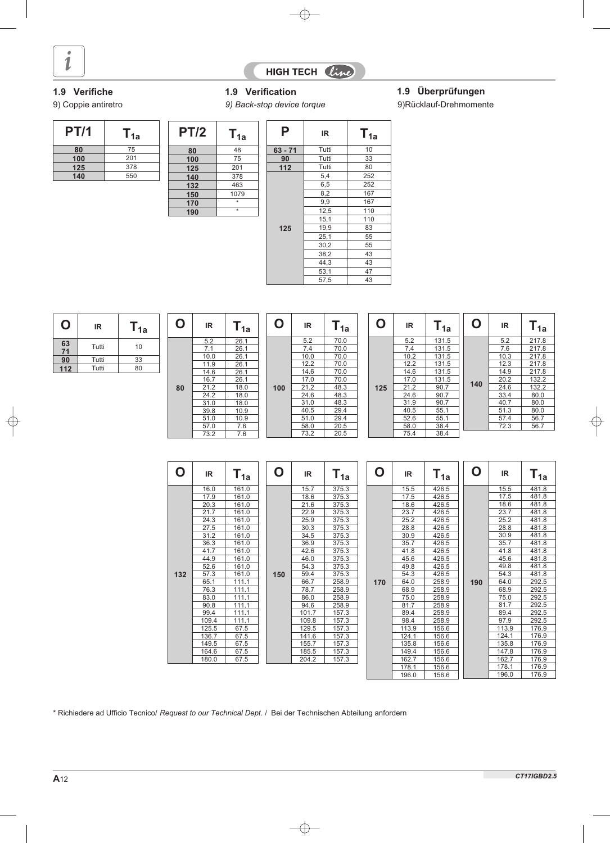



# **1.9 Verifiche 1.9 Verification 1.9 Überprüfungen**

| <b>PT/1</b> | 1a  |
|-------------|-----|
| 80          | 75  |
| 100         | 201 |
| 125         | 378 |
| 140         | 550 |

| 9) Coppie antiretro |     |             |      | 9) Back-stop device torque | 9) Rücklauf-Drehmomente |      |  |
|---------------------|-----|-------------|------|----------------------------|-------------------------|------|--|
| <b>PT/1</b>         | 1a  | <b>PT/2</b> | ∎ 1a |                            | IR                      | l 1a |  |
| 80                  | 75  | 80          | 48   | $63 - 71$                  | Tutti                   | 10   |  |
| 100                 | 201 | 100         | 75   | 90                         | Tutti                   | 33   |  |
| 125                 | 378 | 125         | 201  | 112                        | Tutti                   | 80   |  |

125 201<br>140 378 140 378<br>132 463 132 463<br>150 1079  $\frac{150}{170}$   $\frac{107}{x}$ **170** \*

> 5.2 26.1 7.1 26.1 10.0 26.1 11.9 26.1 14.6 26.1 16.7 26.1 21.2 18.0<br>24.2 18.0  $\frac{18.0}{18.0}$ 31.0 18.0<br>39.8 10.9 39.8 10.9<br>51.0 10.9 51.0 10.9<br>57.0 7.6<br>73.2 7.6 57.0 7.6 73.2 7.6

**190** \*

| Ρ         | IR.   | $T_{1a}$ |
|-----------|-------|----------|
| $63 - 71$ | Tutti | 10       |
| 90        | Tutti | 33       |
| 112       | Tutti | 80       |
|           | 5,4   | 252      |
|           | 6,5   | 252      |
|           | 8,2   | 167      |
|           | 9,9   | 167      |
|           | 12,5  | 110      |
|           | 15,1  | 110      |
| 125       | 19,9  | 83       |
|           | 25,1  | 55       |
|           | 30,2  | 55       |
|           | 38,2  | 43       |
|           | 44,3  | 43       |
|           | 53,1  | 47       |
|           | 57,5  | 43       |

| O        | IR    | 1a | O | IR           | 1a           |
|----------|-------|----|---|--------------|--------------|
| 63<br>71 | Tutti | 10 |   | 5.2<br>7.1   | 26.1<br>26.1 |
| 90       | Tutti | 33 |   | 10.0         | 26.1<br>26.1 |
| 112      | Tutti | 80 |   | 11.9<br>14.6 | 26.1         |

**80**

|  | С   | IR.  | $T_{1a}$ |
|--|-----|------|----------|
|  |     | 5.2  | 70.0     |
|  |     | 7.4  | 70.0     |
|  |     | 10.0 | 70.0     |
|  |     | 12.2 | 70.0     |
|  |     | 14.6 | 70.0     |
|  |     | 17.0 | 70.0     |
|  | 100 | 21.2 | 48.3     |
|  |     | 24.6 | 48.3     |
|  |     | 31.0 | 48.3     |
|  |     | 40.5 | 29.4     |
|  |     | 51.0 | 29.4     |
|  |     | 58.0 | 20.5     |
|  |     | 73.2 | 20.5     |

|     | IR   | $T_{1a}$ |
|-----|------|----------|
|     | 5.2  | 131.5    |
|     | 7.4  | 131.5    |
|     | 10.2 | 131.5    |
|     | 12.2 | 131.5    |
|     | 14.6 | 131.5    |
|     | 17.0 | 131.5    |
| 125 | 21.2 | 90.7     |
|     | 24.6 | 90.7     |
|     | 31.9 | 90.7     |
|     | 40.5 | 55.1     |
|     | 52.6 | 55.1     |
|     | 58.0 | 38.4     |
|     | 75.4 | 38.4     |

|     | IR   | $T_{1a}$ |
|-----|------|----------|
|     | 5.2  | 217.8    |
|     | 7.6  | 217.8    |
|     | 10.3 | 217.8    |
|     | 12.3 | 217.8    |
|     | 14.9 | 217.8    |
| 140 | 20.2 | 132.2    |
|     | 24.6 | 132.2    |
|     | 33.4 | 80.0     |
|     | 40.7 | 80.0     |
|     | 51.3 | 80.0     |
|     | 57.4 | 56.7     |
|     | 72.3 | 56.7     |

| O   | IR.   | $\mathsf{T}_{\mathsf{1a}}$ | O   | IR.   | $\mathsf{T}_{\mathsf{1a}}$ | O   | IR    | $\mathsf{T}_{\mathsf{1a}}$ | O   | IR.   | ${\mathsf T}_{\mathsf 1{\mathsf a}}$ |
|-----|-------|----------------------------|-----|-------|----------------------------|-----|-------|----------------------------|-----|-------|--------------------------------------|
|     | 16.0  | 161.0                      |     | 15.7  | 375.3                      |     | 15.5  | 426.5                      |     | 15.5  | 481.8                                |
|     | 17.9  | 161.0                      |     | 18.6  | 375.3                      |     | 17.5  | 426.5                      |     | 17.5  | 481.8                                |
|     | 20.3  | 161.0                      |     | 21.6  | 375.3                      |     | 18.6  | 426.5                      |     | 18.6  | 481.8                                |
|     | 21.7  | 161.0                      |     | 22.9  | 375.3                      |     | 23.7  | 426.5                      |     | 23.7  | 481.8                                |
|     | 24.3  | 161.0                      |     | 25.9  | 375.3                      |     | 25.2  | 426.5                      |     | 25.2  | 481.8                                |
|     | 27.5  | 161.0                      |     | 30.3  | 375.3                      |     | 28.8  | 426.5                      |     | 28.8  | 481.8                                |
|     | 31.2  | 161.0                      |     | 34.5  | 375.3                      |     | 30.9  | 426.5                      |     | 30.9  | 481.8                                |
|     | 36.3  | 161.0                      |     | 36.9  | 375.3                      |     | 35.7  | 426.5                      |     | 35.7  | 481.8                                |
|     | 41.7  | 161.0                      |     | 42.6  | 375.3                      |     | 41.8  | 426.5                      |     | 41.8  | 481.8                                |
|     | 44.9  | 161.0                      |     | 46.0  | 375.3                      |     | 45.6  | 426.5                      |     | 45.6  | 481.8                                |
|     | 52.6  | 161.0                      |     | 54.3  | 375.3                      |     | 49.8  | 426.5                      |     | 49.8  | 481.8                                |
| 132 | 57.3  | 161.0                      | 150 | 59.4  | 375.3                      |     | 54.3  | 426.5                      |     | 54.3  | 481.8                                |
|     | 65.1  | 111.1                      |     | 66.7  | 258.9                      | 170 | 64.0  | 258.9                      | 190 | 64.0  | 292.5                                |
|     | 76.3  | 111.1                      |     | 78.7  | 258.9                      |     | 68.9  | 258.9                      |     | 68.9  | 292.5                                |
|     | 83.0  | 111.1                      |     | 86.0  | 258.9                      |     | 75.0  | 258.9                      |     | 75.0  | 292.5                                |
|     | 90.8  | 111.1                      |     | 94.6  | 258.9                      |     | 81.7  | 258.9                      |     | 81.7  | 292.5                                |
|     | 99.4  | 111.1                      |     | 101.7 | 157.3                      |     | 89.4  | 258.9                      |     | 89.4  | 292.5                                |
|     | 109.4 | 111.1                      |     | 109.8 | 157.3                      |     | 98.4  | 258.9                      |     | 97.9  | 292.5                                |
|     | 125.5 | 67.5                       |     | 129.5 | 157.3                      |     | 113.9 | 156.6                      |     | 113.9 | 176.9                                |
|     | 136.7 | 67.5                       |     | 141.6 | 157.3                      |     | 124.1 | 156.6                      |     | 124.1 | 176.9                                |
|     | 149.5 | 67.5                       |     | 155.7 | 157.3                      |     | 135.8 | 156.6                      |     | 135.8 | 176.9                                |
|     | 164.6 | 67.5                       |     | 185.5 | 157.3                      |     | 149.4 | 156.6                      |     | 147.8 | 176.9                                |
|     | 180.0 | 67.5                       |     | 204.2 | 157.3                      |     | 162.7 | 156.6                      |     | 162.7 | 176.9                                |
|     |       |                            |     |       |                            |     | 178.1 | 156.6                      |     | 178.1 | 176.9                                |
|     |       |                            |     |       |                            |     | 196.0 | 156.6                      |     | 196.0 | 176.9                                |

\* Richiedere ad Ufficio Tecnico/ *Request to our Technical Dept.* / Bei der Technischen Abteilung anfordern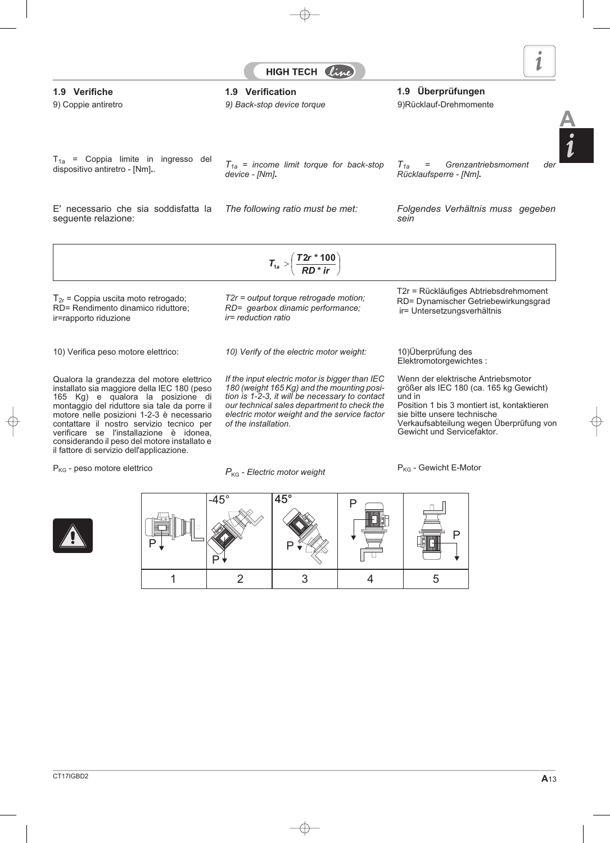

**A**

# *T1a = Grenzantriebsmoment der*

*Rücklaufsperre - [Nm]***.**

*The following ratio must be met: Folgendes Verhältnis muss gegeben sein*

10) Verifica peso motore elettrico:

Qualora la grandezza del motore elettrico installato sia maggiore della IEC 180 (peso 165 Kg) e qualora la posizione di montaggio del riduttore sia tale da porre il motore nelle posizioni 1-2-3 è necessario contattare il nostro servizio tecnico per verificare se l'installazione è idonea, considerando il peso del motore installato e il fattore di servizio dell'applicazione.

*P*KG - *Electric motor weight*

*of the installation.*

RD= Dynamischer Getriebewirkungsgrad ir= Untersetzungsverhältnis

10)Überprüfung des Elektromotorgewichtes :

Wenn der elektrische Antriebsmotor größer als IEC 180 (ca. 165 kg Gewicht) und in Position 1 bis 3 montiert ist, kontaktieren sie bitte unsere technische Verkaufsabteilung wegen Überprüfung von Gewicht und Servicefaktor.



P





dispositivo antiretro - [Nm]**.**.

seguente relazione:

**1.9 Verifiche 1.9 Verification 1.9 Überprüfungen**

*device - [Nm]***.**



*T1a = income limit torque for back-stop*

HIGH TECH Li

*10) Verify of the electric motor weight:*

*If the input electric motor is bigger than IEC 180 (weight 165 Kg) and the mounting position is 1-2-3, it will be necessary to contact our technical sales department to check the electric motor weight and the service factor*

 $T_{2r}$  = Coppia uscita moto retrogado; RD= Rendimento dinamico riduttore; ir=rapporto riduzione

 $T_{1a}$  = Coppia limite in ingresso del

E' necessario che sia soddisfatta la

 $P_{KG}$  - peso motore elettrico



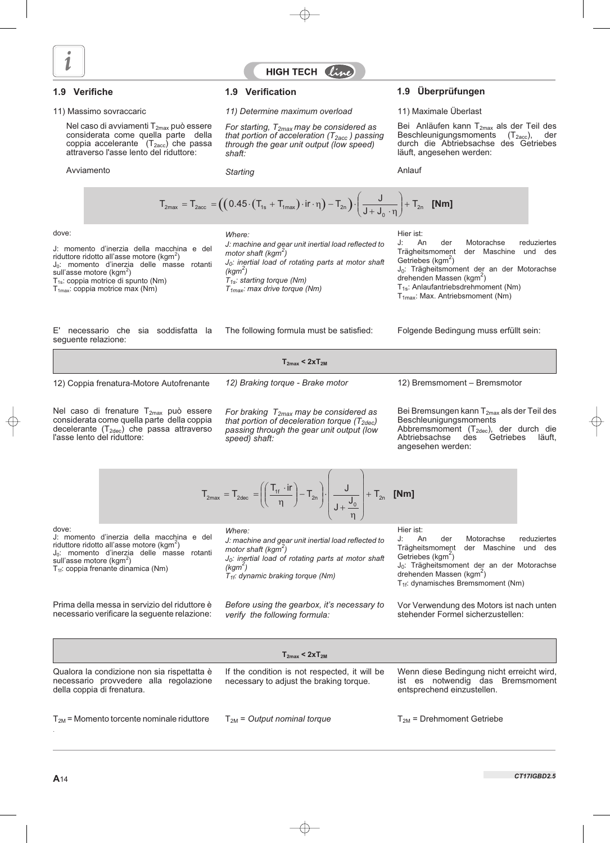

## HIGH TECH  $\ell i_{\ell}$

Nel caso di avviamenti T<sub>2max</sub> può essere considerata come quella parte della coppia accelerante  $(T_{2\text{acc}})$  che passa attraverso l'asse lento del riduttore:

Avviamento

#### 11) Massimo sovraccaric *11) Determine maximum overload* 11) Maximale Überlast

*For starting, T2max may be considered as that portion of acceleration (T2acc ) passing through the gear unit output (low speed) shaft:*

*Starting*

#### **1.9 Verifiche 1.9 Verification 1.9 Überprüfungen**

Bei Anläufen kann T<sub>2max</sub> als der Teil des<br>Beschleunigungsmoments (T<sub>2acc</sub>), der Beschleunigungsmoments durch die Abtriebsachse des Getriebes läuft, angesehen werden:

Anlauf

$$
T_{2\text{max}} = T_{2\text{acc}} = \left( \left( 0.45 \cdot \left( T_{1\text{s}} + T_{1\text{max}} \right) \cdot \text{ir} \cdot \eta \right) - T_{2\text{n}} \right) \cdot \left( \frac{J}{J + J_0 \cdot \eta} \right) + T_{2\text{n}} \quad \text{[Nm]}
$$

dove:

J: momento d'inerzia della macchina e del riduttore ridotto all'asse motore (kgm<sup>2</sup>) J<sub>0</sub>: momento d'inerzia delle masse rotanti sull'asse motore (kgm<sup>2</sup>) T<sub>1s</sub>: coppia motrice di spunto (Nm)  $T_{1max}$ : coppia motrice max (Nm)

E' necessario che sia soddisfatta la seguente relazione:

*Where:*

*J: machine and gear unit inertial load reflected to motor shaft (kgm2 ) J0: inertial load of rotating parts at motor shaft (kgm2 ) T1s: starting torque (Nm) T1max: max drive torque (Nm)*

Hier ist:<br>J: An J: An der Motorachse reduziertes<br>Trägheitsmoment der Maschine und des der Maschine und des Getriebes ( $kgm<sup>2</sup>$ )

J<sub>0</sub>: Trägheitsmoment der an der Motorachse drehenden Massen (kgm<sup>2</sup>)

T<sub>1s</sub>: Anlaufantriebsdrehmoment (Nm)

T<sub>1max</sub>: Max. Antriebsmoment (Nm)

The following formula must be satisfied: Folgende Bedingung muss erfüllt sein:

|                                          | $T_{2max}$ < $2xT_{2M}$          |                              |
|------------------------------------------|----------------------------------|------------------------------|
| 12) Coppia frenatura-Motore Autofrenante | 12) Braking torque - Brake motor | 12) Bremsmoment - Bremsmotor |

Nel caso di frenature  $T_{2\text{max}}$  può essere considerata come quella parte della coppia decelerante  $(T_{2dec})$  che passa attraverso l'asse lento del riduttore:

*For braking T2max may be considered as that portion of deceleration torque (T2dec) passing through the gear unit output (low speed) shaft:*

Bei Bremsungen kann T<sub>2max</sub> als der Teil des Beschleunigungsmoments Abbremsmoment (T<sub>2dec</sub>), der durch die<br>Abtriebsachse des Getriebes läuft, Abtriebsachse angesehen werden:

|  | $T_{2\text{max}} = T_{2\text{dec}} = \left( \left( \frac{T_{1f} \cdot \text{ir}}{\eta} \right) - T_{2n} \right) \cdot \left  \frac{J}{J + \frac{J_0}{J}} \right  + T_{2n}$ [Nm] |  |  |  |  |
|--|---------------------------------------------------------------------------------------------------------------------------------------------------------------------------------|--|--|--|--|
|--|---------------------------------------------------------------------------------------------------------------------------------------------------------------------------------|--|--|--|--|

dove:

J: momento d'inerzia della macchina e del riduttore ridotto all'asse motore (kgm<sup>2</sup>) J<sub>0</sub>: momento d'inerzia delle masse rotanti sull'asse motore (kgm<sup>2</sup>) T<sub>1f</sub>: coppia frenante dinamica (Nm)

Prima della messa in servizio del riduttore è necessario verificare la seguente relazione: *Where:*

*J: machine and gear unit inertial load reflected to* motor shaft (kgm<sup>2</sup>)

*J0: inertial load of rotating parts at motor shaft (kgm2 )*

*T1f: dynamic braking torque (Nm)*

*Before using the gearbox, it's necessary to verify the following formula:*

Hier ist:

J: An der Motorachse reduziertes<br>Trägheitsmoment der Maschine und des der Maschine und des Getriebes ( $kgm<sup>2</sup>$ ) J<sub>0</sub>: Trägheitsmoment der an der Motorachse

drehenden Massen (kgm<sup>2</sup>) T<sub>1f</sub>: dynamisches Bremsmoment (Nm)

Vor Verwendung des Motors ist nach unten stehender Formel sicherzustellen:

|                                                                                                                     | $T_{2max}$ < $2xT_{2M}$                                                                  |                                                                                                             |
|---------------------------------------------------------------------------------------------------------------------|------------------------------------------------------------------------------------------|-------------------------------------------------------------------------------------------------------------|
| Qualora la condizione non sia rispettatta è<br>necessario provvedere alla regolazione<br>della coppia di frenatura. | If the condition is not respected, it will be<br>necessary to adjust the braking torque. | Wenn diese Bedingung nicht erreicht wird,<br>ist es notwendig das Bremsmoment<br>entsprechend einzustellen. |
| $T_{2M}$ = Momento torcente nominale riduttore                                                                      | $T_{2M}$ = Output nominal torque                                                         | $T_{2M}$ = Drehmoment Getriebe                                                                              |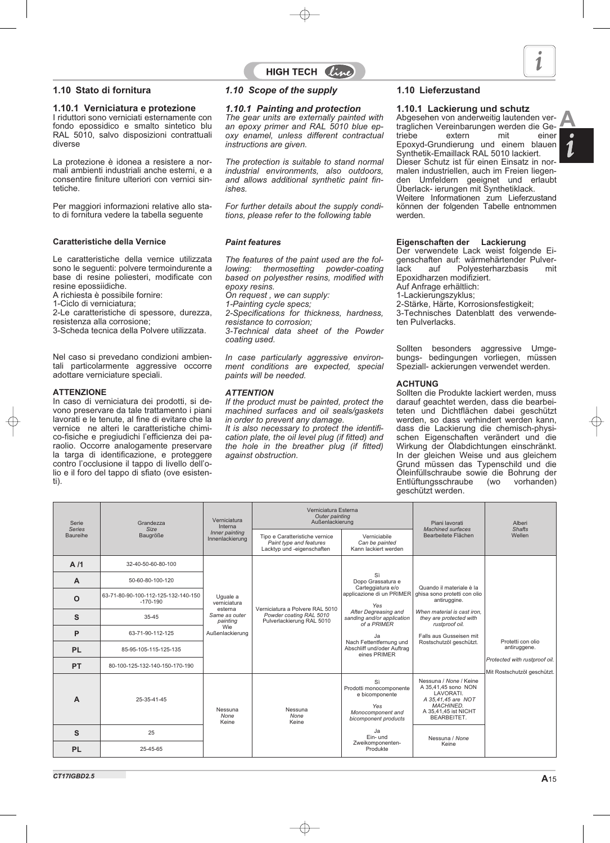*CT17IGBD2.5*

### **1.10.1 Verniciatura e protezione**

I riduttori sono verniciati esternamente con fondo epossidico e smalto sintetico blu RAL 5010, salvo disposizioni contrattuali diverse

La protezione è idonea a resistere a normali ambienti industriali anche esterni, e a consentire finiture ulteriori con vernici sintetiche.

Per maggiori informazioni relative allo stato di fornitura vedere la tabella seguente

#### **Caratteristiche della Vernice**

Le caratteristiche della vernice utilizzata sono le seguenti: polvere termoindurente a base di resine poliesteri, modificate con resine epossiidiche.

A richiesta è possibile fornire:

1-Ciclo di verniciatura;

2-Le caratteristiche di spessore, durezza, resistenza alla corrosione;

3-Scheda tecnica della Polvere utilizzata.

Nel caso si prevedano condizioni ambientali particolarmente aggressive occorre adottare verniciature speciali.

#### **ATTENZIONE**

In caso di verniciatura dei prodotti, si devono preservare da tale trattamento i piani lavorati e le tenute, al fine di evitare che la vernice ne alteri le caratteristiche chimico-fisiche e pregiudichi l'efficienza dei paraolio. Occorre analogamente preservare la targa di identificazione, e proteggere contro l'occlusione il tappo di livello dell'olio e il foro del tappo di sfiato (ove esistenti).

### **1.10 Stato di fornitura** *1.10 Scope of the supply* **1.10 Lieferzustand**

# *1.10.1 Painting and protection*

*The gear units are externally painted with an epoxy primer and RAL 5010 blue epoxy enamel, unless different contractual instructions are given.*

*The protection is suitable to stand normal industrial environments, also outdoors, and allows additional synthetic paint finishes.*

*For further details about the supply conditions, please refer to the following table*

#### *Paint features*

*The features of the paint used are the following: thermosetting powder-coating based on polyesther resins, modified with epoxy resins. On request , we can supply: 1-Painting cycle specs; 2-Specifications for thickness, hardness, resistance to corrosion; 3-Technical data sheet of the Powder coating used. In case particularly aggressive environ-*

*ment conditions are expected, special paints will be needed.*

### *ATTENTION*

*If the product must be painted, protect the machined surfaces and oil seals/gaskets in order to prevent any damage.*

*It is also necessary to protect the identification plate, the oil level plug (if fitted) and the hole in the breather plug (if fitted) against obstruction.*

### **1.10.1 Lackierung und schutz**

Abgesehen von anderweitig lautenden vertraglichen Vereinbarungen werden die Ge-<br>triebe extern mit einer triebe extern mit einer Epoxyd-Grundierung und einem blauen Synthetik-Emaillack RAL 5010 lackiert. Dieser Schutz ist für einen Einsatz in normalen industriellen, auch im Freien liegenden Umfeldern geeignet und erlaubt Überlack- ierungen mit Synthetiklack. Weitere Informationen zum Lieferzustand können der folgenden Tabelle entnommen werden.

#### **Eigenschaften der Lackierung**

Der verwendete Lack weist folgende Eigenschaften auf: wärmehärtender Pulver-<br>lack auf Polvesterharzbasis mit Polyesterharzbasis Epoxidharzen modifiziert.

Auf Anfrage erhältlich:

1-Lackierungszyklus;

2-Stärke, Härte, Korrosionsfestigkeit;

3-Technisches Datenblatt des verwendeten Pulverlacks.

Sollten besonders aggressive Umgebungs- bedingungen vorliegen, müssen Speziall- ackierungen verwendet werden.

### **ACHTUNG**

Sollten die Produkte lackiert werden, muss darauf geachtet werden, dass die bearbeiteten und Dichtflächen dabei geschützt werden, so dass verhindert werden kann. dass die Lackierung die chemisch-physischen Eigenschaften verändert und die Wirkung der Ölabdichtungen einschränkt. In der gleichen Weise und aus gleichem Grund müssen das Typenschild und die Öleinfüllschraube sowie die Bohrung der<br>Entlüftungsschraube (wo vorhanden) Entlüftungsschraube geschützt werden.

| Serie<br><b>Series</b> | Grandezza<br>Size                                 | Verniciatura<br>Interna             | Verniciatura Esterna<br>Outer painting<br>Außenlackierung                               |                                                                                                     | Piani lavorati<br>Machined surfaces                                                                                                         | Alberi<br><b>Shafts</b>                                      |              |
|------------------------|---------------------------------------------------|-------------------------------------|-----------------------------------------------------------------------------------------|-----------------------------------------------------------------------------------------------------|---------------------------------------------------------------------------------------------------------------------------------------------|--------------------------------------------------------------|--------------|
| Baureihe               | Baugröße                                          | Inner painting<br>Innenlackierung   | Tipo e Caratteristiche vernice<br>Paint type and features<br>Lacktyp und -eigenschaften | Verniciabile<br>Can be painted<br>Kann lackiert werden                                              | Bearbeitete Flächen                                                                                                                         | Wellen                                                       |              |
| A/1                    | 32-40-50-60-80-100                                |                                     |                                                                                         |                                                                                                     |                                                                                                                                             |                                                              |              |
| $\mathsf{A}$           | 50-60-80-100-120                                  |                                     |                                                                                         | Sì<br>Dopo Grassatura e<br>Carteggiatura e/o                                                        | Quando il materiale è la                                                                                                                    |                                                              |              |
| $\Omega$               | 63-71-80-90-100-112-125-132-140-150<br>$-170-190$ | Uguale a<br>verniciatura<br>esterna | Verniciatura a Polvere RAL 5010                                                         | applicazione di un PRIMER<br>Yes                                                                    | ghisa sono protetti con olio<br>antiruggine.                                                                                                |                                                              |              |
| S                      | 35-45                                             | Same as outer<br>painting           | Powder coating RAL 5010<br>Pulverlackierung RAL 5010                                    | After Degreasing and<br>sanding and/or application<br>of a PRIMER                                   | When material is cast iron.<br>they are protected with<br>rustproof oil.<br>Falls aus Gusseisen mit                                         |                                                              |              |
| P                      | 63-71-90-112-125                                  | Wie<br>Außenlackierung              |                                                                                         | Ja<br>Nach Fettentfernung und<br>Abschliff und/oder Auftrag<br>eines PRIMER                         |                                                                                                                                             | Protetti con olio                                            |              |
| <b>PL</b>              | 85-95-105-115-125-135                             |                                     |                                                                                         |                                                                                                     |                                                                                                                                             | Rostschutzöl geschützt.                                      | antiruggene. |
| <b>PT</b>              | 80-100-125-132-140-150-170-190                    |                                     |                                                                                         |                                                                                                     |                                                                                                                                             | Protected with rustproof oil.<br>Mit Rostschutzöl geschützt. |              |
| A                      | 25-35-41-45                                       | Nessuna<br>None<br>Keine            | Nessuna<br>None<br>Keine                                                                | Sì<br>Prodotti monocomponente<br>e bicomponente<br>Yes<br>Monocomponent and<br>bicomponent products | Nessuna / None / Keine<br>A 35.41.45 sono NON<br>LAVORATI.<br>A 35,41,45 are NOT<br>MACHINED.<br>A 35.41.45 ist NICHT<br><b>BEARBEITET.</b> |                                                              |              |
| S                      | 25                                                |                                     |                                                                                         | Ja<br>Ein- und                                                                                      | Nessuna / None                                                                                                                              |                                                              |              |
| <b>PL</b>              | 25-45-65                                          |                                     |                                                                                         | Zweikomponenten-<br>Produkte                                                                        | Keine                                                                                                                                       |                                                              |              |

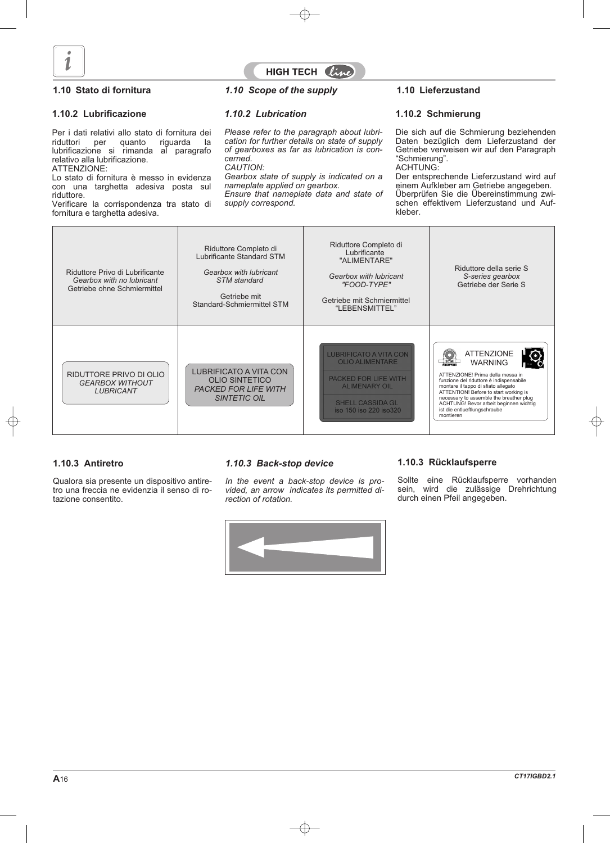

# HIGH TECH L

#### **1.10.2 Lubrificazione**

Per i dati relativi allo stato di fornitura dei riduttori per quanto riguarda la lubrificazione si rimanda al paragrafo relativo alla lubrificazione. ATTENZIONE:

Lo stato di fornitura è messo in evidenza con una targhetta adesiva posta sul riduttore.

Verificare la corrispondenza tra stato di fornitura e targhetta adesiva.

#### **1.10 Stato di fornitura** *1.10 Scope of the supply* **1.10 Lieferzustand**

#### *1.10.2 Lubrication*

*Please refer to the paragraph about lubrication for further details on state of supply of gearboxes as far as lubrication is concerned.*

*CAUTION:*

*Gearbox state of supply is indicated on a nameplate applied on gearbox.*

*Ensure that nameplate data and state of supply correspond.*

#### **1.10.2 Schmierung**

Die sich auf die Schmierung beziehenden Daten bezüglich dem Lieferzustand der Getriebe verweisen wir auf den Paragraph "Schmierung". ACHTUNG:

Der entsprechende Lieferzustand wird auf einem Aufkleber am Getriebe angegeben. Überprüfen Sie die Übereinstimmung zwischen effektivem Lieferzustand und Aufkleber.

| Riduttore Privo di Lubrificante<br>Gearbox with no lubricant<br>Getriebe ohne Schmiermittel | Riduttore Completo di<br>Lubrificante Standard STM<br>Gearbox with lubricant<br><b>STM</b> standard<br>Getriebe mit<br>Standard-Schmiermittel STM | Riduttore Completo di<br>Lubrificante<br>"ALIMENTARE"<br>Gearbox with lubricant<br>"FOOD-TYPE"<br>Getriebe mit Schmiermittel<br>"LEBENSMITTEL"                       | Riduttore della serie S<br>S-series gearbox<br>Getriebe der Serie S                                                                                                                                                                                                                                                                         |
|---------------------------------------------------------------------------------------------|---------------------------------------------------------------------------------------------------------------------------------------------------|----------------------------------------------------------------------------------------------------------------------------------------------------------------------|---------------------------------------------------------------------------------------------------------------------------------------------------------------------------------------------------------------------------------------------------------------------------------------------------------------------------------------------|
| RIDUTTORE PRIVO DI OLIO<br><b>GEARBOX WITHOUT</b><br><b>LUBRICANT</b>                       | <b>LUBRIFICATO A VITA CON</b><br><b>OLIO SINTETICO</b><br><b>PACKED FOR LIFE WITH</b><br><b>SINTETIC OIL</b>                                      | <b>LUBRIFICATO A VITA CON</b><br><b>OLIO ALIMENTARE</b><br><b>PACKED FOR LIFE WITH</b><br><b>ALIMENARY OIL</b><br><b>SHELL CASSIDA GL</b><br>iso 150 iso 220 iso 320 | <b>ATTENZIONE</b><br>STM<br><b>WARNING</b><br>ATTENZIONE! Prima della messa in<br>funzione del riduttore è indispensabile<br>montare il tappo di sfiato allegato<br>ATTENTION! Before to start working is<br>necessary to assemble the breather plug<br>ACHTUNG! Bevor arbeit beginnen wichtig<br>ist die entlueftlungschraube<br>montieren |

### **1.10.3 Antiretro**

Qualora sia presente un dispositivo antiretro una freccia ne evidenzia il senso di rotazione consentito.

#### *1.10.3 Back-stop device*

*In the event a back-stop device is provided, an arrow indicates its permitted direction of rotation.*

#### **1.10.3 Rücklaufsperre**

Sollte eine Rücklaufsperre vorhanden sein, wird die zulässige Drehrichtung durch einen Pfeil angegeben.

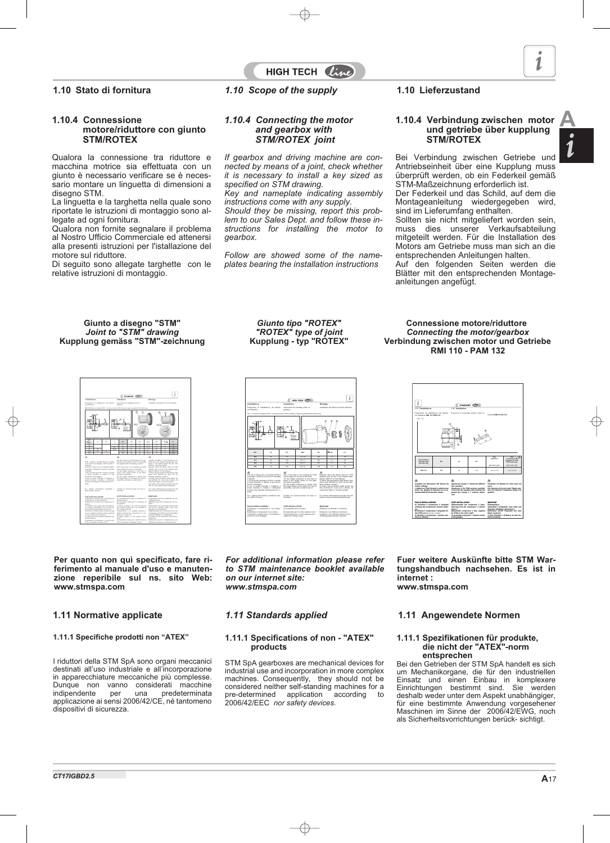#### **1.10.4 Connessione motore/riduttore con giunto STM/ROTEX**

Qualora la connessione tra riduttore e macchina motrice sia effettuata con un giunto è necessario verificare se è necessario montare un linguetta di dimensioni a disegno STM.

La linguetta e la targhetta nella quale sono riportate le istruzioni di montaggio sono allegate ad ogni fornitura.

Qualora non fornite segnalare il problema al Nostro Ufficio Commerciale ed attenersi alla presenti istruzioni per l'istallazione del motore sul riduttore.

Di seguito sono allegate targhette con le relative istruzioni di montaggio.

### **1.10 Stato di fornitura** *1.10 Scope of the supply* **1.10 Lieferzustand**

#### *1.10.4 Connecting the motor and gearbox with STM/ROTEX joint*

*If gearbox and driving machine are connected by means of a joint, check whether it is necessary to install a key sized as specified on STM drawing.*

HIGH TECH  $\ell\mathcal{U}$ 

*Key and nameplate indicating assembly instructions come with any supply.*

*Should they be missing, report this problem to our Sales Dept. and follow these instructions for installing the motor to gearbox.*

*Follow are showed some of the nameplates bearing the installation instructions*

#### **1.10.4 Verbindung zwischen motor und getriebe über kupplung STM/ROTEX**

Bei Verbindung zwischen Getriebe und Antriebseinheit über eine Kupplung muss überprüft werden, ob ein Federkeil gemäß STM-Maßzeichnung erforderlich ist. Der Federkeil und das Schild, auf dem die Montageanleitung wiedergegeben wird,

sind im Lieferumfang enthalten. Sollten sie nicht mitgeliefert worden sein, muss dies unserer Verkaufsabteilung mitgeteilt werden. Für die Installation des Motors am Getriebe muss man sich an die entsprechenden Anleitungen halten.

Auf den folgenden Seiten werden die Blätter mit den entsprechenden Montageanleitungen angefügt.

#### **Giunto a disegno "STM"** *Joint to "STM" drawing* **Kupplung gemäss "STM"-zeichnung**



**Per quanto non quì specificato, fare riferimento al manuale d'uso e manutenzione reperibile sul ns. sito Web: www.stmspa.com**

#### **1.11.1 Specifiche prodotti non "ATEX"**

I riduttori della STM SpA sono organi meccanici destinati all'uso industriale e all'incorporazione in apparecchiature meccaniche più complesse. Dunque non vanno considerati macchine<br>indipendente per una predeterminata predeterminata applicazione ai sensi 2006/42/CE, né tantomeno dispositivi di sicurezza.

*Giunto tipo "ROTEX" "ROTEX" type of joint* **Kupplung - typ "ROTEX"**

 $\boxed{t}$ **Installazione** *Installation* **Montage** con Riduttore. Tab. 1.13 Giunto a disegno Rotex / *Coupling made to Rotex drawing* / Kupplung gemäß Rotex-Zeichnung **1 2 3 1 1 2 3 3 LY IEC dY EY KEY BY AY LY 200 |** 30 | 110 | 116×10 | 126 | <4 | 4 **225 1 225 1 225 1 225 1 225 1 225 250** 65 140 18 x 11 130 < 6 63 **280** 75 140 20 x 12 130 < 6 63 N.B. Se il motore non è di fornitura STM è *N.B. If the motor is not supplied by STM,* Beachte: Wenn der Motor nicht von STM necessario verificare la quota AY riportata geliefert wird, ist das in der Tabelle ange-*1)if the height measured is less than or* 1) Se la quota misurata è minore o uguale *equal to the height shown on the table,* 1) Wenn das gemessene Maß kleiner oder a quella riportata in tabella; si può procegleich dem Sollmaß ist, kann mit der Mondere al montaggio; *2)if the height measured is greater than* tage verfahren werden; 2) Se la quota misurata è maggiore a *the height shown on the table, you have to* 2) Wenn das gemessene Maß größer als quella riportata in tabella; è necessario *assemble a tab with a smaller size LY.* das Solimaß ist, muss eine Lamelle mit Contact our Technical Dept. for more instro Ufficio Tecnico. formation bitte an unsere Konstruktionsabteilung. A) Montare il componente 2 sul compo-*A) Assemble part 2 on part 1.* A)Bauteil 2 an Bauteil 1 montieren; nente 1; C) Montare il componente 1 sul riduttore e C) Assemble part 1 on the gearbox and C) Bauteil 1 am Getriebe anbauen und

*For additional information please refer to STM maintenance booklet available on our internet site: www.stmspa.com*

#### **1.11.1 Specifications of non - "ATEX" products**

STM SpA gearboxes are mechanical devices for industrial use and incorporation in more complex machines. Consequently, they should not be considered neither self-standing machines for a<br>pre-determined application according to pre-determined application 2006/42/EEC *nor safety devices.*

**Connessione motore/riduttore** *Connecting the motor/gearbox* **Verbindung zwischen motor und Getriebe RMI 110 - PAM 132**



**Fuer weitere Auskünfte bitte STM Wartungshandbuch nachsehen. Es ist in internet : www.stmspa.com**

#### **1.11 Normative applicate** *1.11 Standards applied* **1.11 Angewendete Normen**

#### **1.11.1 Spezifikationen für produkte, die nicht der "ATEX"-norm entsprechen**

Bei den Getrieben der STM SpA handelt es sich um Mechanikorgane, die für den industriellen Einsatz und einen Einbau in komplexere Einrichtungen bestimmt sind. Sie werden deshalb weder unter dem Aspekt unabhängiger, für eine bestimmte Anwendung vorgesehener Maschinen im Sinne der 2006/42/EWG, noch als Sicherheitsvorrichtungen berück- sichtigt.



**A**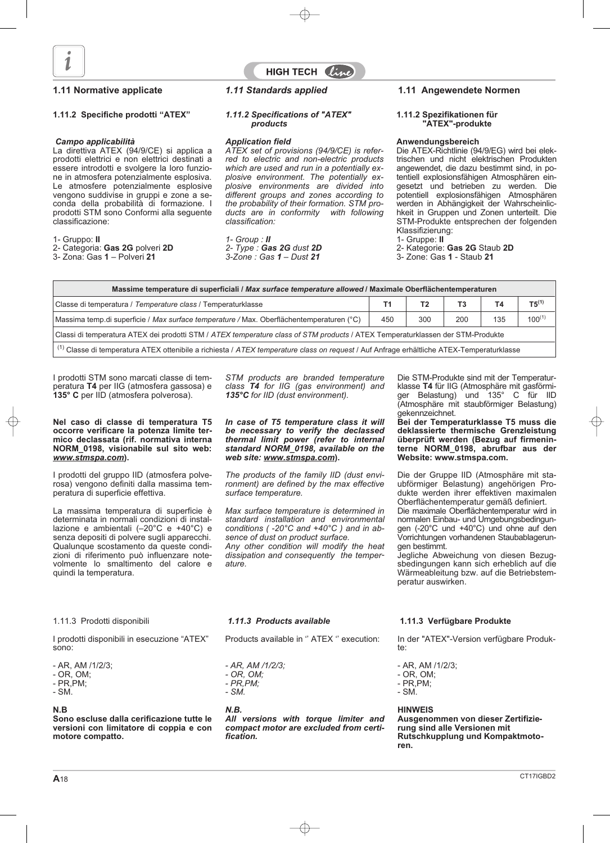

# HIGH TECH  $\ell_{\mathcal{U}}$

#### **1.11.2 Specifiche prodotti "ATEX"**

#### *Campo applicabilità*

La direttiva ATEX (94/9/CE) si applica a prodotti elettrici e non elettrici destinati a essere introdotti e svolgere la loro funzione in atmosfera potenzialmente esplosiva. Le atmosfere potenzialmente esplosive vengono suddivise in gruppi e zone a seconda della probabilità di formazione. I prodotti STM sono Conformi alla seguente classificazione:

#### 1- Gruppo: **II**

2- Categoria: **Gas 2G** polveri **2D**

3- Zona: Gas **1** – Polveri **21**

#### *1.11.2 Specifications of "ATEX" products*

#### *Application field*

*ATEX set of provisions (94/9/CE) is referred to electric and non-electric products which are used and run in a potentially explosive environment. The potentially explosive environments are divided into different groups and zones according to the probability of their formation. STM pro*ducts are in conformity *classification:*

*1- Group : II 2- Type : Gas 2G dust 2D 3-Zone : Gas 1 – Dust 21*

### **1.11 Normative applicate** *1.11 Standards applied* **1.11 Angewendete Normen**

#### **1.11.2 Spezifikationen für "ATEX"-produkte**

#### **Anwendungsbereich**

Die ATEX-Richtlinie (94/9/EG) wird bei elektrischen und nicht elektrischen Produkten angewendet, die dazu bestimmt sind, in potentiell explosionsfähigen Atmosphären eingesetzt und betrieben zu werden. Die potentiell explosionsfähigen Atmosphären werden in Abhängigkeit der Wahrscheinlichkeit in Gruppen und Zonen unterteilt. Die STM-Produkte entsprechen der folgenden Klassifizierung:

1- Gruppe: **II**

2- Kategorie: **Gas 2G** Staub **2D**

3- Zone: Gas **1** - Staub **21**

| Massime temperature di superficiali / Max surface temperature allowed / Maximale Oberflächentemperaturen                                                            |     |     |     |     |             |
|---------------------------------------------------------------------------------------------------------------------------------------------------------------------|-----|-----|-----|-----|-------------|
| Classe di temperatura / Temperature class / Temperaturklasse                                                                                                        | Τ1  | T2  | T3  | Τ4  | $T5^{(1)}$  |
| Massima temp.di superficie / Max surface temperature / Max. Oberflächentemperaturen (°C)                                                                            | 450 | 300 | 200 | 135 | $100^{(1)}$ |
| Classi di temperatura ATEX dei prodotti STM / ATEX temperature class of STM products / ATEX Temperaturklassen der STM-Produkte                                      |     |     |     |     |             |
| <sup>1</sup> ( <sup>1</sup> ) Classe di temperatura ATEX ottenibile a richiesta / ATEX temperature class on request / Auf Anfrage erhältliche ATEX-Temperaturklasse |     |     |     |     |             |

I prodotti STM sono marcati classe di temperatura **T4** per IIG (atmosfera gassosa) e **135° C** per IID (atmosfera polverosa).

#### **Nel caso di classe di temperatura T5 occorre verificare la potenza limite termico declassata (rif. normativa interna NORM\_0198, visionabile sul sito web:** *www.stmspa.com***).**

I prodotti del gruppo IID (atmosfera polverosa) vengono definiti dalla massima temperatura di superficie effettiva.

La massima temperatura di superficie è determinata in normali condizioni di installazione e ambientali (–20°C e +40°C) e senza depositi di polvere sugli apparecchi. Qualunque scostamento da queste condizioni di riferimento può influenzare notevolmente lo smaltimento del calore e quindi la temperatura.

*STM products are branded temperature class T4 for IIG (gas environment) and 135°C for IID (dust environment).*

*In case of T5 temperature class it will be necessary to verify the declassed thermal limit power (refer to internal standard NORM\_0198, available on the web site: www.stmspa.com***).**

*The products of the family IID (dust environment) are defined by the max effective surface temperature.*

*Max surface temperature is determined in standard installation and environmental conditions ( -20°C and +40°C ) and in absence of dust on product surface. Any other condition will modify the heat*

*dissipation and consequently the temperature.*

Die STM-Produkte sind mit der Temperaturklasse **T4** für IIG (Atmosphäre mit gasförmiger Belastung) und 135° C für IID (Atmosphäre mit staubförmiger Belastung) gekennzeichnet.

**Bei der Temperaturklasse T5 muss die deklassierte thermische Grenzleistung überprüft werden (Bezug auf firmeninterne NORM\_0198, abrufbar aus der Website: www.stmspa.com.**

Die der Gruppe IID (Atmosphäre mit staubförmiger Belastung) angehörigen Produkte werden ihrer effektiven maximalen Oberflächentemperatur gemäß definiert. Die maximale Oberflächentemperatur wird in

normalen Einbau- und Umgebungsbedingungen (-20°C und +40°C) und ohne auf den Vorrichtungen vorhandenen Staubablagerungen bestimmt.

Jegliche Abweichung von diesen Bezugsbedingungen kann sich erheblich auf die Wärmeableitung bzw. auf die Betriebstemperatur auswirken.

1.11.3 Prodotti disponibili

I prodotti disponibili in esecuzione "ATEX" sono:

- AR, AM /1/2/3;
- OR, OM;
- PR,PM;
- SM.

#### **N.B**

**Sono escluse dalla cerificazione tutte le versioni con limitatore di coppia e con motore compatto.**

### *1.11.3 Products available*

Products available in '' ATEX '' execution:

*- AR, AM /1/2/3; - OR, OM;*

- *PR,PM;*
- *SM.*

#### *N.B.*

*All versions with torque limiter and compact motor are excluded from certification.*

### **1.11.3 Verfügbare Produkte**

In der "ATEX"-Version verfügbare Produkte:

- AR, AM /1/2/3;
- OR, OM;
- PR,PM; - SM.

#### **HINWEIS**

**Ausgenommen von dieser Zertifizierung sind alle Versionen mit Rutschkupplung und Kompaktmotoren.**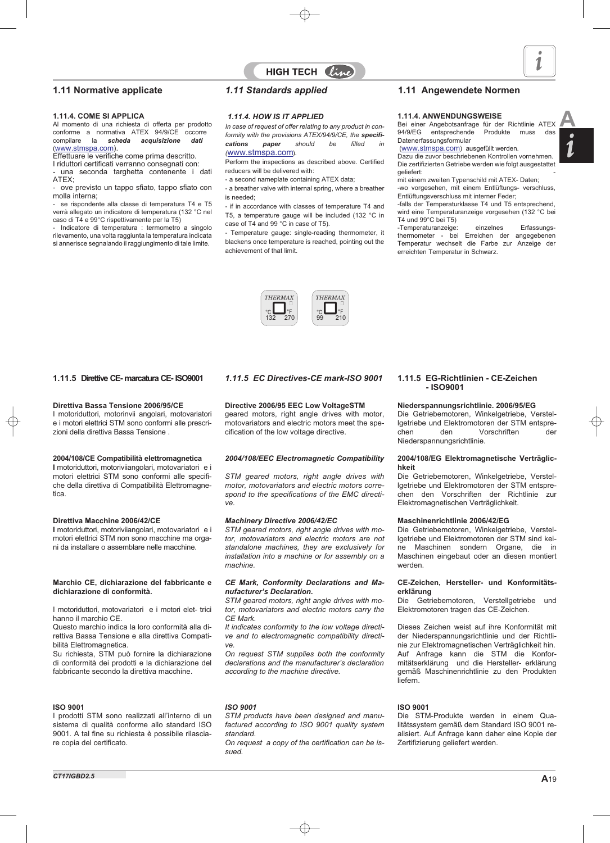**1.11.4. COME SI APPLICA** conforme a normativa ATEX 94/9/CE occorre<br>compilare la **scheda acquisizione dati** la scheda acquisizione (www.stmspa.com).

Effettuare le verifiche come prima descritto. I riduttori certificati verranno consegnati con:

- una seconda targhetta contenente i dati ATEX; - ove previsto un tappo sfiato, tappo sfiato con

molla interna;

- se rispondente alla classe di temperatura T4 e T5 verrà allegato un indicatore di temperatura (132 °C nel caso di T4 e 99°C rispettivamente per la T5)

- Indicatore di temperatura : termometro a singolo rilevamento, una volta raggiunta la temperatura indicata si annerisce segnalando il raggiungimento di tale limite.

#### *1.11.4. HOW IS IT APPLIED*

*In case of request of offer relating to any product in conformity with the provisions ATEX/94/9/CE, the specifications paper should be filled in (*www.stmspa.com).

HIGH TECH  $\ell_{ij}$ 

Perform the inspections as described above. Certified reducers will be delivered with:

- a second nameplate containing ATEX data;

- a breather valve with internal spring, where a breather is needed;

- if in accordance with classes of temperature T4 and T5, a temperature gauge will be included (132 °C in case of T4 and 99 °C in case of T5).

- Temperature gauge: single-reading thermometer, it blackens once temperature is reached, pointing out the achievement of that limit.



### **1.11 Normative applicate** *1.11 Standards applied* **1.11 Angewendete Normen**

#### **1.11.4. ANWENDUNGSWEISE**

1.11.4. COME SI APPLICA<br>Al momento di una richiesta di offerta per prodotto *In case of request of offer relating to any product in con*<br>Al momento di una richiesta di offerta per prodotto *In case of request of offer rela* 94/9/EG entsprechende Produkte muss das Datenerfassungsformular

(www.stmspa.com) ausgefüllt werden. Dazu die zuvor beschriebenen Kontrollen vornehmen. Die zertifizierten Getriebe werden wie folgt ausgestattet geliefert:

mit einem zweiten Typenschild mit ATEX- Daten;

-wo vorgesehen, mit einem Entlüftungs- verschluss, Entlüftungsverschluss mit interner Feder;

-falls der Temperaturklasse T4 und T5 entsprechend, wird eine Temperaturanzeige vorgesehen (132 °C bei T4 und 99°C bei T5)

-Temperaturanzeige: einzelnes Erfassungsthermometer - bei Erreichen der angegebenen Temperatur wechselt die Farbe zur Anzeige der erreichten Temperatur in Schwarz.

#### **1.11.5 Direttive CE- marcatura CE- ISO9001**

#### **Direttiva Bassa Tensione 2006/95/CE**

I motoriduttori, motorinvii angolari, motovariatori e i motori elettrici STM sono conformi alle prescrizioni della direttiva Bassa Tensione .

#### **2004/108/CE Compatibilità elettromagnetica**

**I** motoriduttori, motoriviiangolari, motovariatori e i motori elettrici STM sono conformi alle specifiche della direttiva di Compatibilità Elettromagnetica.

#### **Direttiva Macchine 2006/42/CE**

**I** motoriduttori, motoriviiangolari, motovariatori e i motori elettrici STM non sono macchine ma organi da installare o assemblare nelle macchine.

#### **Marchio CE, dichiarazione del fabbricante e dichiarazione di conformità.**

I motoriduttori, motovariatori e i motori elet- trici hanno il marchio CE.

Questo marchio indica la loro conformità alla direttiva Bassa Tensione e alla direttiva Compatibilità Elettromagnetica.

Su richiesta, STM può fornire la dichiarazione di conformità dei prodotti e la dichiarazione del fabbricante secondo la direttiva macchine.

#### **ISO 9001**

I prodotti STM sono realizzati all'interno di un sistema di qualità conforme allo standard ISO 9001. A tal fine su richiesta è possibile rilasciare copia del certificato.

### *1.11.5 EC Directives-CE mark-ISO 9001*

**Directive 2006/95 EEC Low VoltageSTM**

geared motors, right angle drives with motor, motovariators and electric motors meet the specification of the low voltage directive.

#### *2004/108/EEC Electromagnetic Compatibility*

*STM geared motors, right angle drives with motor, motovariators and electric motors correspond to the specifications of the EMC directive.*

#### *Machinery Directive 2006/42/EC*

*STM geared motors, right angle drives with motor, motovariators and electric motors are not standalone machines, they are exclusively for installation into a machine or for assembly on a machine.*

#### *CE Mark, Conformity Declarations and Manufacturer's Declaration.*

*STM geared motors, right angle drives with motor, motovariators and electric motors carry the CE Mark.*

*It indicates conformity to the low voltage directive and to electromagnetic compatibility directive.*

*On request STM supplies both the conformity declarations and the manufacturer's declaration according to the machine directive.*

#### *ISO 9001*

*STM products have been designed and manufactured according to ISO 9001 quality system standard.*

*On request a copy of the certification can be issued.*

#### **1.11.5 EG-Richtlinien - CE-Zeichen - ISO9001**

#### **Niederspannungsrichtlinie. 2006/95/EG**

Die Getriebemotoren, Winkelgetriebe, Verstellgetriebe und Elektromotoren der STM entspre-<br>chen den Vorschriften der Vorschriften Niederspannungsrichtlinie.

#### **2004/108/EG Elektromagnetische Verträglichkeit**

Die Getriebemotoren, Winkelgetriebe, Verstellgetriebe und Elektromotoren der STM entsprechen den Vorschriften der Richtlinie zur Elektromagnetischen Verträglichkeit.

#### **Maschinenrichtlinie 2006/42/EG**

Die Getriebemotoren, Winkelgetriebe, Verstellgetriebe und Elektromotoren der STM sind kei-<br>ne Maschinen sondern Organe, die in Maschinen sondern Organe, die in Maschinen eingebaut oder an diesen montiert werden.

#### **CE-Zeichen, Hersteller- und Konformitätserklärung**

Die Getriebemotoren, Verstellgetriebe und Elektromotoren tragen das CE-Zeichen.

Dieses Zeichen weist auf ihre Konformität mit der Niederspannungsrichtlinie und der Richtlinie zur Elektromagnetischen Verträglichkeit hin. Auf Anfrage kann die STM die Konformitätserklärung und die Hersteller- erklärung gemäß Maschinenrichtlinie zu den Produkten liefern.

#### **ISO 9001**

Die STM-Produkte werden in einem Qualitätssystem gemäß dem Standard ISO 9001 realisiert. Auf Anfrage kann daher eine Kopie der Zertifizierung geliefert werden.